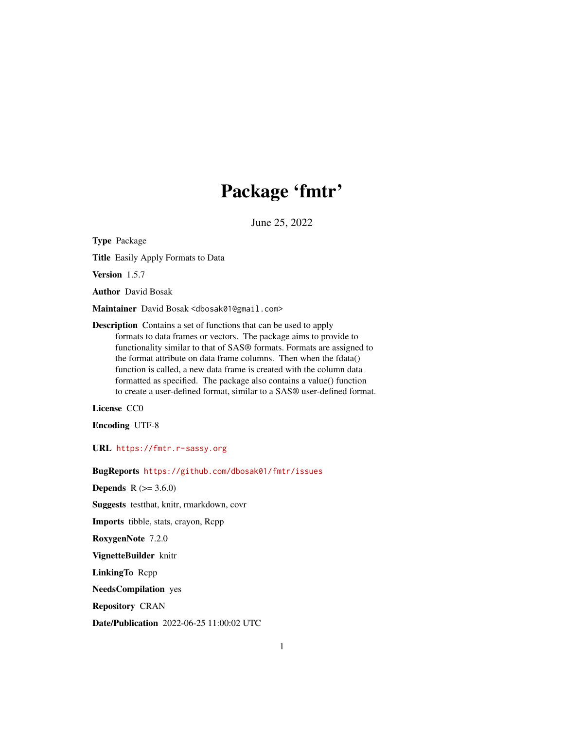# Package 'fmtr'

June 25, 2022

<span id="page-0-0"></span>Type Package Title Easily Apply Formats to Data Version 1.5.7 Author David Bosak Maintainer David Bosak <dbosak01@gmail.com> Description Contains a set of functions that can be used to apply formats to data frames or vectors. The package aims to provide to functionality similar to that of SAS® formats. Formats are assigned to the format attribute on data frame columns. Then when the fdata() function is called, a new data frame is created with the column data formatted as specified. The package also contains a value() function to create a user-defined format, similar to a SAS® user-defined format.

License CC0

Encoding UTF-8

URL <https://fmtr.r-sassy.org>

BugReports <https://github.com/dbosak01/fmtr/issues>

**Depends** R  $(>= 3.6.0)$ 

Suggests testthat, knitr, rmarkdown, covr

Imports tibble, stats, crayon, Rcpp

RoxygenNote 7.2.0

VignetteBuilder knitr

LinkingTo Rcpp

NeedsCompilation yes

Repository CRAN

Date/Publication 2022-06-25 11:00:02 UTC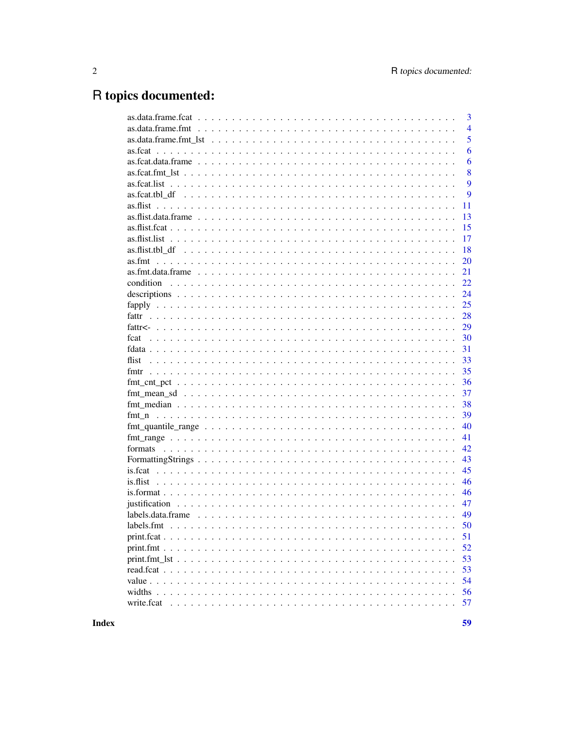# R topics documented:

|                                                                                                                     | 3              |
|---------------------------------------------------------------------------------------------------------------------|----------------|
|                                                                                                                     | $\overline{4}$ |
|                                                                                                                     | 5              |
|                                                                                                                     | 6              |
|                                                                                                                     | 6              |
|                                                                                                                     | 8              |
|                                                                                                                     | 9              |
|                                                                                                                     | 9              |
|                                                                                                                     | 11             |
|                                                                                                                     | 13             |
|                                                                                                                     | 15             |
|                                                                                                                     | 17             |
|                                                                                                                     | 18             |
|                                                                                                                     | 20             |
|                                                                                                                     | 21             |
|                                                                                                                     | 22             |
|                                                                                                                     | 24             |
|                                                                                                                     | 25             |
|                                                                                                                     | 28             |
|                                                                                                                     | 29             |
|                                                                                                                     | 30             |
|                                                                                                                     | 31             |
|                                                                                                                     | 33             |
|                                                                                                                     | 35             |
|                                                                                                                     | 36             |
|                                                                                                                     | 37             |
|                                                                                                                     | 38             |
|                                                                                                                     | 39             |
|                                                                                                                     | 40             |
|                                                                                                                     | 41             |
|                                                                                                                     | 42             |
|                                                                                                                     | 43             |
|                                                                                                                     | 45             |
|                                                                                                                     | 46             |
|                                                                                                                     | 46             |
|                                                                                                                     | 47             |
| $labels.data frame \dots \dots \dots \dots \dots \dots \dots \dots \dots \dots \dots \dots \dots \dots \dots \dots$ | 49             |
| labels.fmt                                                                                                          | 50             |
|                                                                                                                     | 51             |
|                                                                                                                     | 52             |
|                                                                                                                     | 53             |
|                                                                                                                     | 53             |
|                                                                                                                     | 54             |
|                                                                                                                     | 56             |
| write.fcat                                                                                                          | 57             |
|                                                                                                                     |                |

**Index**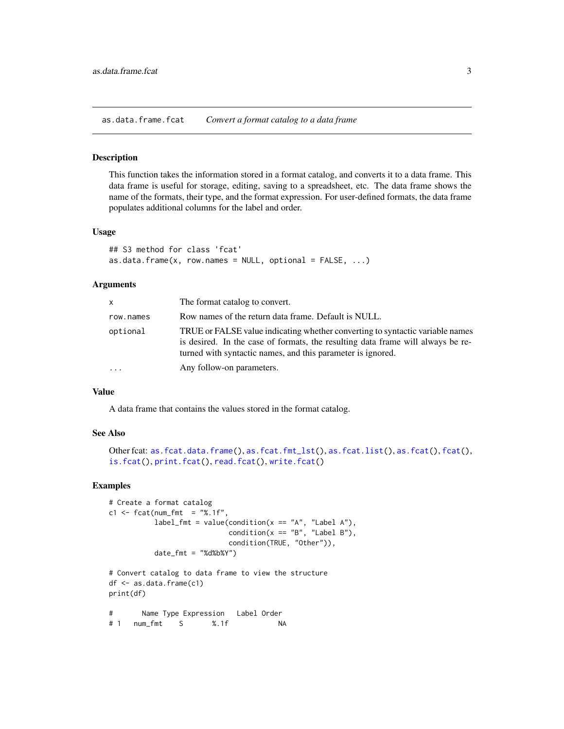<span id="page-2-1"></span><span id="page-2-0"></span>as.data.frame.fcat *Convert a format catalog to a data frame*

#### Description

This function takes the information stored in a format catalog, and converts it to a data frame. This data frame is useful for storage, editing, saving to a spreadsheet, etc. The data frame shows the name of the formats, their type, and the format expression. For user-defined formats, the data frame populates additional columns for the label and order.

## Usage

```
## S3 method for class 'fcat'
as.data.frame(x, row.names = NULL, optional = FALSE, ...)
```
#### Arguments

| <b>X</b>  | The format catalog to convert.                                                                                                                                                                                                  |
|-----------|---------------------------------------------------------------------------------------------------------------------------------------------------------------------------------------------------------------------------------|
| row.names | Row names of the return data frame. Default is NULL.                                                                                                                                                                            |
| optional  | TRUE or FALSE value indicating whether converting to syntactic variable names<br>is desired. In the case of formats, the resulting data frame will always be re-<br>turned with syntactic names, and this parameter is ignored. |
| .         | Any follow-on parameters.                                                                                                                                                                                                       |

## Value

A data frame that contains the values stored in the format catalog.

## See Also

```
Other fcat: as.fcat.data.frame(), as.fcat.fmt_lst(), as.fcat.list(), as.fcat(), fcat(),
is.fcat(), print.fcat(), read.fcat(), write.fcat()
```

```
# Create a format catalog
c1 <- fcat(num_fmt = "%.1f",
          label_fmt = value(condition(x == "A", "Label A"),condition(x == "B", "Label B"),condition(TRUE, "Other")),
          date_fmt = "ddbxy"
```

```
# Convert catalog to data frame to view the structure
df <- as.data.frame(c1)
print(df)
```

```
# Name Type Expression Label Order
# 1 num_fmt S %.1f NA
```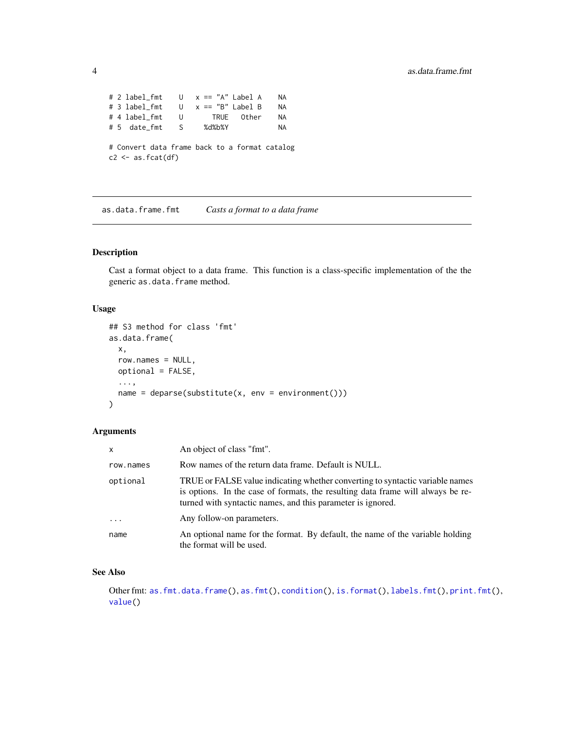```
# 2 label_fmt U x == "A" Label A NA
# 3 label_fmt U x == "B" Label B NA
# 4 label_fmt U TRUE Other NA
# 5 date_fmt S %d%b%Y NA
# Convert data frame back to a format catalog
c2 \leq -as.fcat(df)
```
<span id="page-3-1"></span>as.data.frame.fmt *Casts a format to a data frame*

## Description

Cast a format object to a data frame. This function is a class-specific implementation of the the generic as.data.frame method.

## Usage

```
## S3 method for class 'fmt'
as.data.frame(
  x,
 row.names = NULL,
 optional = FALSE,
  ...,
  name = deparse(substitute(x, env = environment()))
)
```
## Arguments

| $\mathsf{x}$ | An object of class "fmt".                                                                                                                                                                                                       |  |
|--------------|---------------------------------------------------------------------------------------------------------------------------------------------------------------------------------------------------------------------------------|--|
| row.names    | Row names of the return data frame. Default is NULL.                                                                                                                                                                            |  |
| optional     | TRUE or FALSE value indicating whether converting to syntactic variable names<br>is options. In the case of formats, the resulting data frame will always be re-<br>turned with syntactic names, and this parameter is ignored. |  |
| $\cdots$     | Any follow-on parameters.                                                                                                                                                                                                       |  |
| name         | An optional name for the format. By default, the name of the variable holding<br>the format will be used.                                                                                                                       |  |

## See Also

Other fmt: [as.fmt.data.frame\(](#page-20-1)), [as.fmt\(](#page-19-1)), [condition\(](#page-21-1)), [is.format\(](#page-45-1)), [labels.fmt\(](#page-49-1)), [print.fmt\(](#page-51-1)), [value\(](#page-53-1))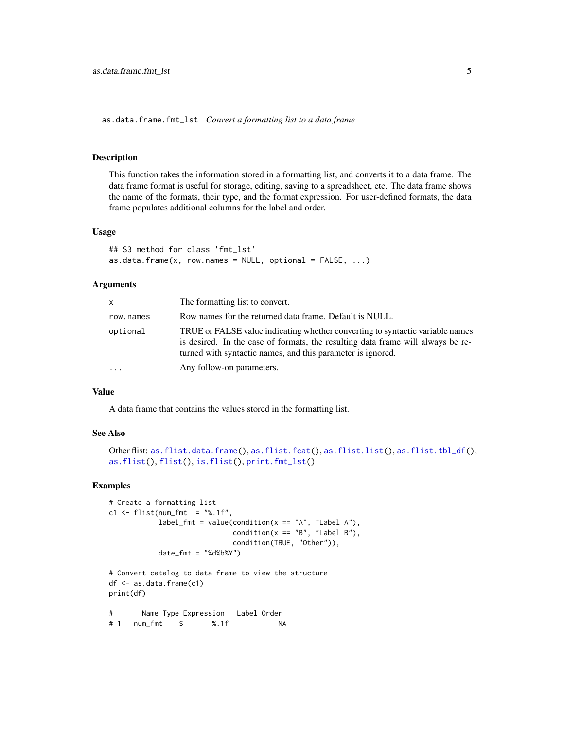<span id="page-4-1"></span><span id="page-4-0"></span>as.data.frame.fmt\_lst *Convert a formatting list to a data frame*

## Description

This function takes the information stored in a formatting list, and converts it to a data frame. The data frame format is useful for storage, editing, saving to a spreadsheet, etc. The data frame shows the name of the formats, their type, and the format expression. For user-defined formats, the data frame populates additional columns for the label and order.

## Usage

```
## S3 method for class 'fmt_lst'
as.data.frame(x, row.names = NULL, optional = FALSE, ...)
```
#### Arguments

| <b>X</b>  | The formatting list to convert.                                                                                                                                                                                                 |
|-----------|---------------------------------------------------------------------------------------------------------------------------------------------------------------------------------------------------------------------------------|
| row.names | Row names for the returned data frame. Default is NULL.                                                                                                                                                                         |
| optional  | TRUE or FALSE value indicating whether converting to syntactic variable names<br>is desired. In the case of formats, the resulting data frame will always be re-<br>turned with syntactic names, and this parameter is ignored. |
| .         | Any follow-on parameters.                                                                                                                                                                                                       |

## Value

A data frame that contains the values stored in the formatting list.

## See Also

```
as.flist.data.frame(as.flist.fcat(as.flist.list(as.flist.tbl_df(),
as.flist(), flist(), is.flist(), print.fmt_lst()
```

```
# Create a formatting list
c1 \leq flist(num_fmt = "%.1f",
           label_fmt = value(condition(x == "A", "Label A"),condition(x == "B", "Label B"),condition(TRUE, "Other")),
           date_fmt = "d%b%Y")
```

```
# Convert catalog to data frame to view the structure
df <- as.data.frame(c1)
print(df)
```

```
# Name Type Expression Label Order
# 1 num_fmt S %.1f NA
```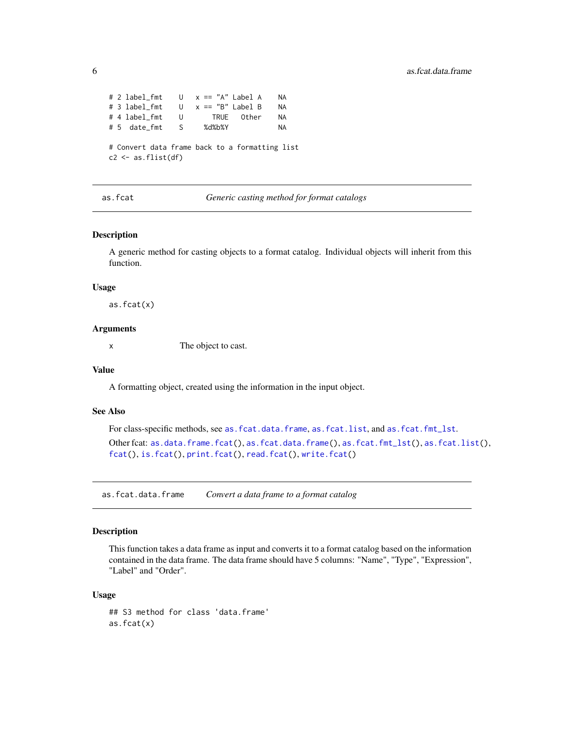```
# 2 label_fmt U x == "A" Label A NA
# 3 label_fmt U x == "B" Label B NA
# 4 label_fmt U TRUE Other NA
# 5 date_fmt S %d%b%Y NA
# Convert data frame back to a formatting list
c2 \leq -as.fit(df)
```
<span id="page-5-2"></span>as.fcat *Generic casting method for format catalogs*

#### Description

A generic method for casting objects to a format catalog. Individual objects will inherit from this function.

#### Usage

as.fcat(x)

## Arguments

x The object to cast.

## Value

A formatting object, created using the information in the input object.

## See Also

For class-specific methods, see [as.fcat.data.frame](#page-5-1), [as.fcat.list](#page-8-1), and [as.fcat.fmt\\_lst](#page-7-1). Other fcat: [as.data.frame.fcat\(](#page-2-1)), [as.fcat.data.frame\(](#page-5-1)), [as.fcat.fmt\\_lst\(](#page-7-1)), [as.fcat.list\(](#page-8-1)), [fcat\(](#page-29-1)), [is.fcat\(](#page-44-1)), [print.fcat\(](#page-50-1)), [read.fcat\(](#page-52-1)), [write.fcat\(](#page-56-1))

<span id="page-5-1"></span>as.fcat.data.frame *Convert a data frame to a format catalog*

## Description

This function takes a data frame as input and converts it to a format catalog based on the information contained in the data frame. The data frame should have 5 columns: "Name", "Type", "Expression", "Label" and "Order".

#### Usage

## S3 method for class 'data.frame' as.fcat(x)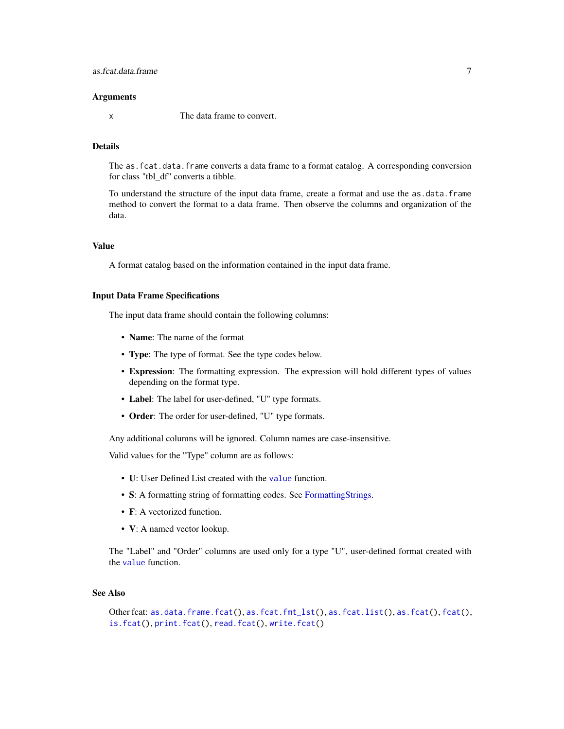#### <span id="page-6-0"></span>**Arguments**

x The data frame to convert.

## Details

The as. fcat.data. frame converts a data frame to a format catalog. A corresponding conversion for class "tbl\_df" converts a tibble.

To understand the structure of the input data frame, create a format and use the as.data.frame method to convert the format to a data frame. Then observe the columns and organization of the data.

#### Value

A format catalog based on the information contained in the input data frame.

## Input Data Frame Specifications

The input data frame should contain the following columns:

- **Name**: The name of the format
- Type: The type of format. See the type codes below.
- Expression: The formatting expression. The expression will hold different types of values depending on the format type.
- Label: The label for user-defined, "U" type formats.
- Order: The order for user-defined, "U" type formats.

Any additional columns will be ignored. Column names are case-insensitive.

Valid values for the "Type" column are as follows:

- U: User Defined List created with the [value](#page-53-1) function.
- S: A formatting string of formatting codes. See [FormattingStrings.](#page-42-1)
- **F**: A vectorized function.
- V: A named vector lookup.

The "Label" and "Order" columns are used only for a type "U", user-defined format created with the [value](#page-53-1) function.

#### See Also

```
Other fcat: as.data.frame.fcat(), as.fcat.fmt_lst(), as.fcat.list(), as.fcat(), fcat(),
is.fcat(), print.fcat(), read.fcat(), write.fcat()
```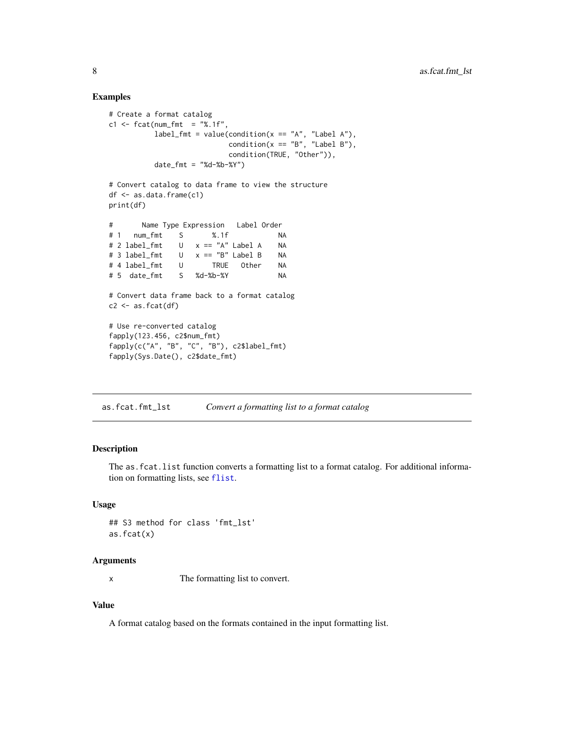## Examples

```
# Create a format catalog
c1 \leq - fcat(num_fmt = "%.1f",
          label_fmt = value(condition(x == "A", "Label A"),condition(x == "B", "Label B"),condition(TRUE, "Other")),
          date_fmt = "Xd-Xb-XY")# Convert catalog to data frame to view the structure
df <- as.data.frame(c1)
print(df)
# Name Type Expression Label Order
# 1 num_fmt S %.1f NA
# 2 label_fmt U x == "A" Label A NA
# 3 label_fmt U x == "B" Label B NA
# 4 label_fmt U TRUE Other NA
# 5 date_fmt S %d-%b-%Y NA
# Convert data frame back to a format catalog
c2 \le -as.fcat(df)# Use re-converted catalog
fapply(123.456, c2$num_fmt)
fapply(c("A", "B", "C", "B"), c2$label_fmt)
fapply(Sys.Date(), c2$date_fmt)
```
<span id="page-7-1"></span>as.fcat.fmt\_lst *Convert a formatting list to a format catalog*

## Description

The as.fcat.list function converts a formatting list to a format catalog. For additional information on formatting lists, see [flist](#page-32-1).

#### Usage

```
## S3 method for class 'fmt_lst'
as.fcat(x)
```
#### Arguments

x The formatting list to convert.

## Value

A format catalog based on the formats contained in the input formatting list.

<span id="page-7-0"></span>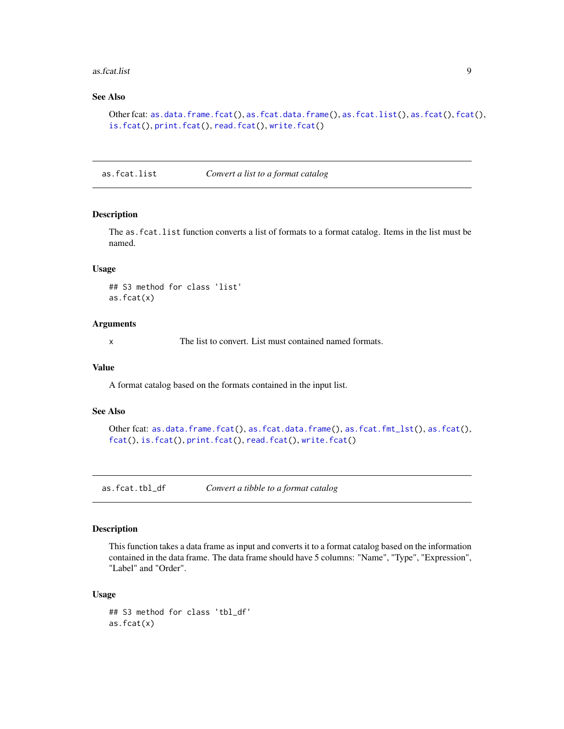#### <span id="page-8-0"></span>as.fcat.list 9

## See Also

```
Other fcat: as.data.frame.fcat(), as.fcat.data.frame(), as.fcat.list(), as.fcat(), fcat(),
is.fcat(), print.fcat(), read.fcat(), write.fcat()
```
<span id="page-8-1"></span>as.fcat.list *Convert a list to a format catalog*

## Description

The as.fcat.list function converts a list of formats to a format catalog. Items in the list must be named.

## Usage

## S3 method for class 'list' as.fcat(x)

## Arguments

x The list to convert. List must contained named formats.

## Value

A format catalog based on the formats contained in the input list.

## See Also

```
Other fcat: as.data.frame.fcat(), as.fcat.data.frame(), as.fcat.fmt_lst(), as.fcat(),
fcat(), is.fcat(), print.fcat(), read.fcat(), write.fcat()
```
as.fcat.tbl\_df *Convert a tibble to a format catalog*

#### Description

This function takes a data frame as input and converts it to a format catalog based on the information contained in the data frame. The data frame should have 5 columns: "Name", "Type", "Expression", "Label" and "Order".

## Usage

```
## S3 method for class 'tbl_df'
as.fcat(x)
```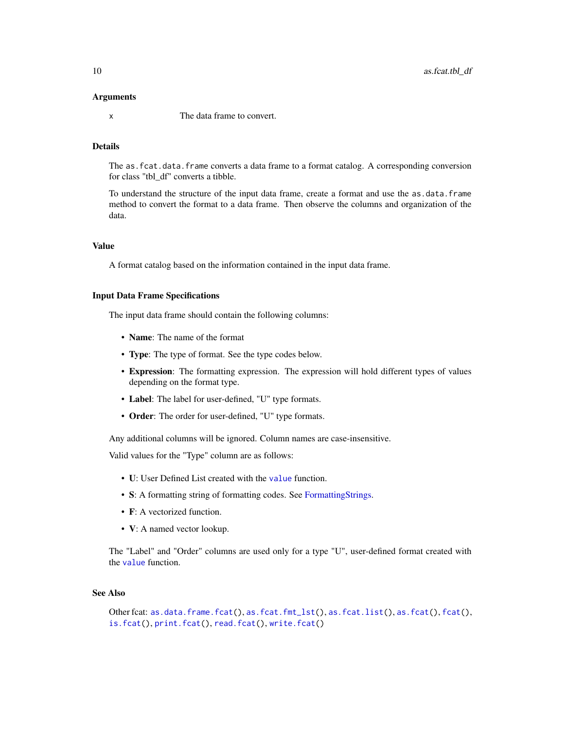#### <span id="page-9-0"></span>Arguments

x The data frame to convert.

## Details

The as. fcat.data. frame converts a data frame to a format catalog. A corresponding conversion for class "tbl\_df" converts a tibble.

To understand the structure of the input data frame, create a format and use the as.data.frame method to convert the format to a data frame. Then observe the columns and organization of the data.

## Value

A format catalog based on the information contained in the input data frame.

## Input Data Frame Specifications

The input data frame should contain the following columns:

- **Name**: The name of the format
- Type: The type of format. See the type codes below.
- Expression: The formatting expression. The expression will hold different types of values depending on the format type.
- Label: The label for user-defined, "U" type formats.
- Order: The order for user-defined, "U" type formats.

Any additional columns will be ignored. Column names are case-insensitive.

Valid values for the "Type" column are as follows:

- U: User Defined List created with the [value](#page-53-1) function.
- S: A formatting string of formatting codes. See [FormattingStrings.](#page-42-1)
- **F**: A vectorized function.
- V: A named vector lookup.

The "Label" and "Order" columns are used only for a type "U", user-defined format created with the [value](#page-53-1) function.

## See Also

```
Other fcat: as.data.frame.fcat(), as.fcat.fmt_lst(), as.fcat.list(), as.fcat(), fcat(),
is.fcat(), print.fcat(), read.fcat(), write.fcat()
```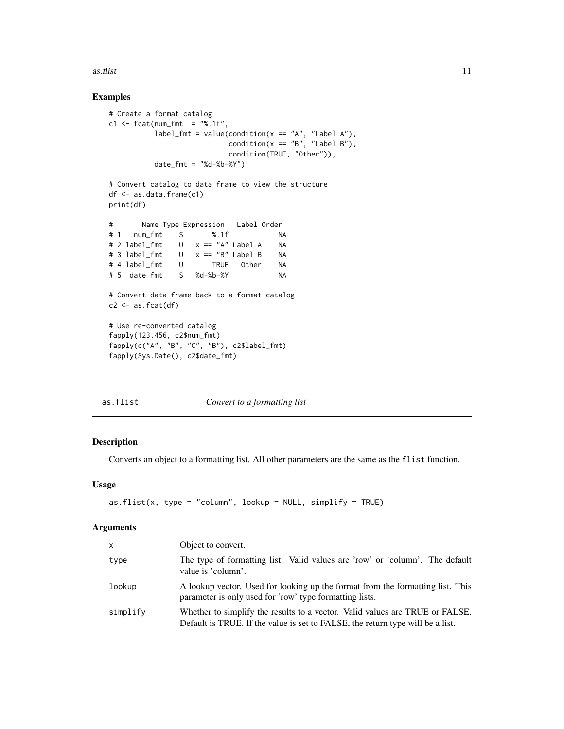<span id="page-10-0"></span> $\alpha$ s.flist 11

## Examples

```
# Create a format catalog
c1 \leq fcat(num_fmt = "%.1f",
         label_fmt = value(condition(x == "A", "Label A"),condition(x == "B", "Label B"),condition(TRUE, "Other")),
          date_fmt = "%d-%b-%Y")
# Convert catalog to data frame to view the structure
df <- as.data.frame(c1)
print(df)
# Name Type Expression Label Order
# 1 num_fmt S %.1f NA
# 2 label_fmt U x == "A" Label A NA
# 3 label_fmt U x == "B" Label B NA
# 4 label_fmt U TRUE Other NA
# 5 date_fmt S %d-%b-%Y NA
# Convert data frame back to a format catalog
c2 \leq -as.fcat(df)# Use re-converted catalog
fapply(123.456, c2$num_fmt)
fapply(c("A", "B", "C", "B"), c2$label_fmt)
fapply(Sys.Date(), c2$date_fmt)
```
<span id="page-10-1"></span>

#### as.flist *Convert to a formatting list*

## Description

Converts an object to a formatting list. All other parameters are the same as the flist function.

## Usage

```
as.flist(x, type = "column", lookup = NULL, simplify = TRUE)
```
## Arguments

| x        | Object to convert.                                                                                                                                             |
|----------|----------------------------------------------------------------------------------------------------------------------------------------------------------------|
| type     | The type of formatting list. Valid values are 'row' or 'column'. The default<br>value is 'column'.                                                             |
| lookup   | A lookup vector. Used for looking up the format from the formatting list. This<br>parameter is only used for 'row' type formatting lists.                      |
| simplify | Whether to simplify the results to a vector. Valid values are TRUE or FALSE.<br>Default is TRUE. If the value is set to FALSE, the return type will be a list. |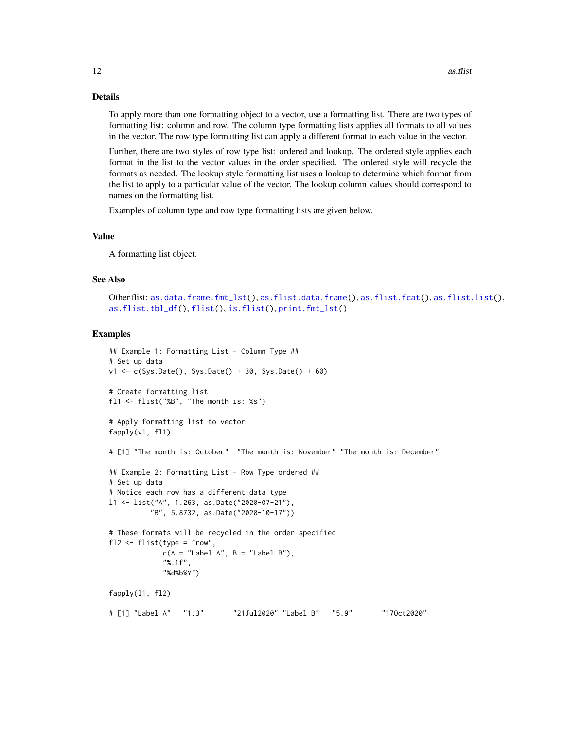#### <span id="page-11-0"></span>Details

To apply more than one formatting object to a vector, use a formatting list. There are two types of formatting list: column and row. The column type formatting lists applies all formats to all values in the vector. The row type formatting list can apply a different format to each value in the vector.

Further, there are two styles of row type list: ordered and lookup. The ordered style applies each format in the list to the vector values in the order specified. The ordered style will recycle the formats as needed. The lookup style formatting list uses a lookup to determine which format from the list to apply to a particular value of the vector. The lookup column values should correspond to names on the formatting list.

Examples of column type and row type formatting lists are given below.

#### Value

A formatting list object.

## See Also

```
Other flist: as.data.frame.fmt_lst(), as.flist.data.frame(), as.flist.fcat(), as.flist.list(),
as.flist.tbl_df(), flist(), is.flist(), print.fmt_lst()
```

```
## Example 1: Formatting List - Column Type ##
# Set up data
v1 \leq c (Sys.Date(), Sys.Date() + 30, Sys.Date() + 60)
# Create formatting list
fl1 <- flist("%B", "The month is: %s")
# Apply formatting list to vector
fapply(v1, fl1)
# [1] "The month is: October" "The month is: November" "The month is: December"
## Example 2: Formatting List - Row Type ordered ##
# Set up data
# Notice each row has a different data type
l1 <- list("A", 1.263, as.Date("2020-07-21"),
          "B", 5.8732, as.Date("2020-10-17"))
# These formats will be recycled in the order specified
fl2 <- flist(type = "row",
            c(A = "Label A", B = "Label B"),"%.1f",
            "%d%b%Y")
fapply(l1, fl2)
# [1] "Label A" "1.3" "21Jul2020" "Label B" "5.9" "17Oct2020"
```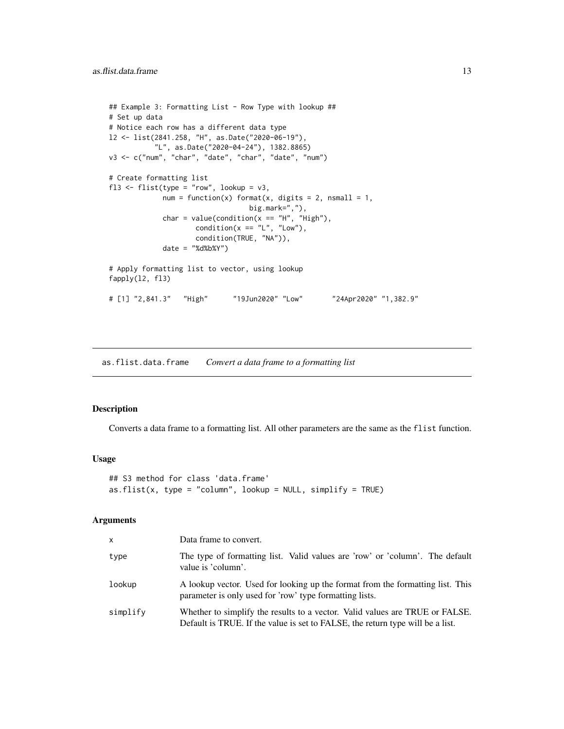```
## Example 3: Formatting List - Row Type with lookup ##
# Set up data
# Notice each row has a different data type
l2 <- list(2841.258, "H", as.Date("2020-06-19"),
          "L", as.Date("2020-04-24"), 1382.8865)
v3 <- c("num", "char", "date", "char", "date", "num")
# Create formatting list
fl3 <- flist(type = "row", lookup = v3,
            num = function(x) format(x, digits = 2, nsmall = 1,big.mark=","),
             char = value(condition(x == "H", "High"),condition(x == "L", "Low",condition(TRUE, "NA")),
            date = "%d%b%Y")
# Apply formatting list to vector, using lookup
fapply(l2, fl3)
# [1] "2,841.3" "High" "19Jun2020" "Low" "24Apr2020" "1,382.9"
```
<span id="page-12-1"></span>as.flist.data.frame *Convert a data frame to a formatting list*

## Description

Converts a data frame to a formatting list. All other parameters are the same as the flist function.

#### Usage

```
## S3 method for class 'data.frame'
as.flist(x, type = "column", lookup = NULL, simplify = TRUE)
```
#### Arguments

| X        | Data frame to convert.                                                                                                                                         |
|----------|----------------------------------------------------------------------------------------------------------------------------------------------------------------|
| type     | The type of formatting list. Valid values are 'row' or 'column'. The default<br>value is 'column'.                                                             |
| lookup   | A lookup vector. Used for looking up the format from the formatting list. This<br>parameter is only used for 'row' type formatting lists.                      |
| simplify | Whether to simplify the results to a vector. Valid values are TRUE or FALSE.<br>Default is TRUE. If the value is set to FALSE, the return type will be a list. |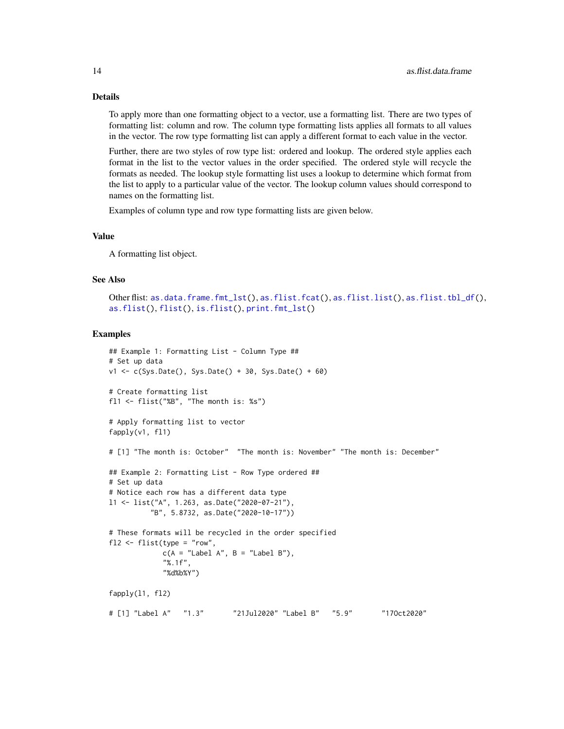#### Details

To apply more than one formatting object to a vector, use a formatting list. There are two types of formatting list: column and row. The column type formatting lists applies all formats to all values in the vector. The row type formatting list can apply a different format to each value in the vector.

Further, there are two styles of row type list: ordered and lookup. The ordered style applies each format in the list to the vector values in the order specified. The ordered style will recycle the formats as needed. The lookup style formatting list uses a lookup to determine which format from the list to apply to a particular value of the vector. The lookup column values should correspond to names on the formatting list.

Examples of column type and row type formatting lists are given below.

#### Value

A formatting list object.

## See Also

```
Other flist: as.data.frame.fmt_lst(), as.flist.fcat(), as.flist.list(), as.flist.tbl_df(),
as.flist(), flist(), is.flist(), print.fmt_lst()
```

```
## Example 1: Formatting List - Column Type ##
# Set up data
v1 \leq c (Sys.Date(), Sys.Date() + 30, Sys.Date() + 60)
# Create formatting list
fl1 <- flist("%B", "The month is: %s")
# Apply formatting list to vector
fapply(v1, fl1)
# [1] "The month is: October" "The month is: November" "The month is: December"
## Example 2: Formatting List - Row Type ordered ##
# Set up data
# Notice each row has a different data type
l1 <- list("A", 1.263, as.Date("2020-07-21"),
          "B", 5.8732, as.Date("2020-10-17"))
# These formats will be recycled in the order specified
fl2 <- flist(type = "row",
            c(A = "Label A", B = "Label B"),"%.1f",
            "%d%b%Y")
fapply(l1, fl2)
# [1] "Label A" "1.3" "21Jul2020" "Label B" "5.9" "17Oct2020"
```
<span id="page-13-0"></span>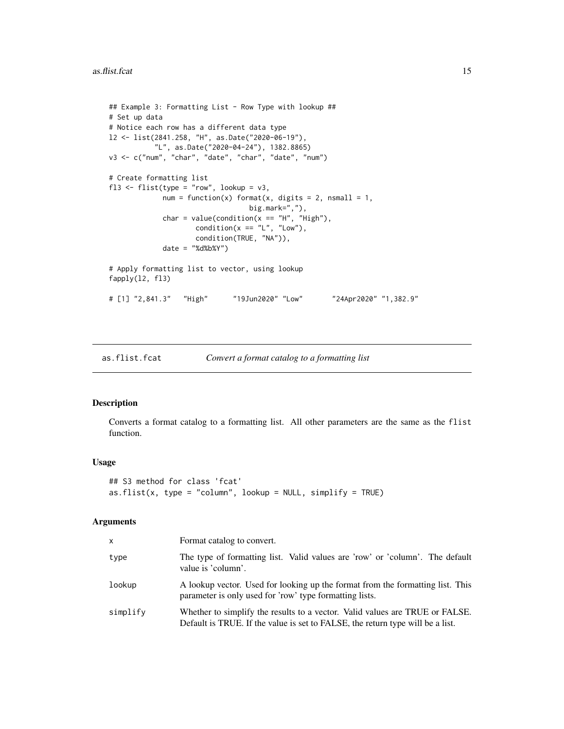```
## Example 3: Formatting List - Row Type with lookup ##
# Set up data
# Notice each row has a different data type
l2 <- list(2841.258, "H", as.Date("2020-06-19"),
          "L", as.Date("2020-04-24"), 1382.8865)
v3 <- c("num", "char", "date", "char", "date", "num")
# Create formatting list
fl3 <- flist(type = "row", lookup = v3,
            num = function(x) format(x, digits = 2, nsmall = 1,big.mark=","),
             char = value(condition(x == "H", "High"),condition(x == "L", "Low",condition(TRUE, "NA")),
            date = "%d%b%Y")
# Apply formatting list to vector, using lookup
fapply(l2, fl3)
# [1] "2,841.3" "High" "19Jun2020" "Low" "24Apr2020" "1,382.9"
```
<span id="page-14-1"></span>as.flist.fcat *Convert a format catalog to a formatting list*

#### Description

Converts a format catalog to a formatting list. All other parameters are the same as the flist function.

## Usage

```
## S3 method for class 'fcat'
as.flist(x, type = "column", lookup = NULL, simplify = TRUE)
```
#### **Arguments**

| X        | Format catalog to convert.                                                                                                                                     |  |
|----------|----------------------------------------------------------------------------------------------------------------------------------------------------------------|--|
| type     | The type of formatting list. Valid values are 'row' or 'column'. The default<br>value is 'column'.                                                             |  |
| lookup   | A lookup vector. Used for looking up the format from the formatting list. This<br>parameter is only used for 'row' type formatting lists.                      |  |
| simplify | Whether to simplify the results to a vector. Valid values are TRUE or FALSE.<br>Default is TRUE. If the value is set to FALSE, the return type will be a list. |  |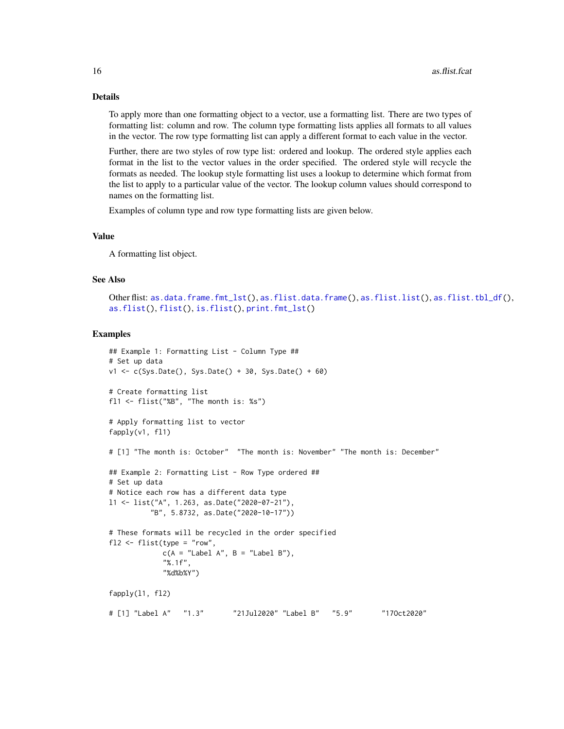#### Details

To apply more than one formatting object to a vector, use a formatting list. There are two types of formatting list: column and row. The column type formatting lists applies all formats to all values in the vector. The row type formatting list can apply a different format to each value in the vector.

Further, there are two styles of row type list: ordered and lookup. The ordered style applies each format in the list to the vector values in the order specified. The ordered style will recycle the formats as needed. The lookup style formatting list uses a lookup to determine which format from the list to apply to a particular value of the vector. The lookup column values should correspond to names on the formatting list.

Examples of column type and row type formatting lists are given below.

#### Value

A formatting list object.

## See Also

```
as.data.frame.fmt_lst(as.flist.data.frame(as.flist.list(as.flist.tbl_df(),
as.flist(), flist(), is.flist(), print.fmt_lst()
```

```
## Example 1: Formatting List - Column Type ##
# Set up data
v1 \leq c (Sys.Date(), Sys.Date() + 30, Sys.Date() + 60)
# Create formatting list
fl1 <- flist("%B", "The month is: %s")
# Apply formatting list to vector
fapply(v1, fl1)
# [1] "The month is: October" "The month is: November" "The month is: December"
## Example 2: Formatting List - Row Type ordered ##
# Set up data
# Notice each row has a different data type
l1 <- list("A", 1.263, as.Date("2020-07-21"),
          "B", 5.8732, as.Date("2020-10-17"))
# These formats will be recycled in the order specified
fl2 <- flist(type = "row",
            c(A = "Label A", B = "Label B"),"%.1f",
            "%d%b%Y")
fapply(l1, fl2)
# [1] "Label A" "1.3" "21Jul2020" "Label B" "5.9" "17Oct2020"
```
<span id="page-15-0"></span>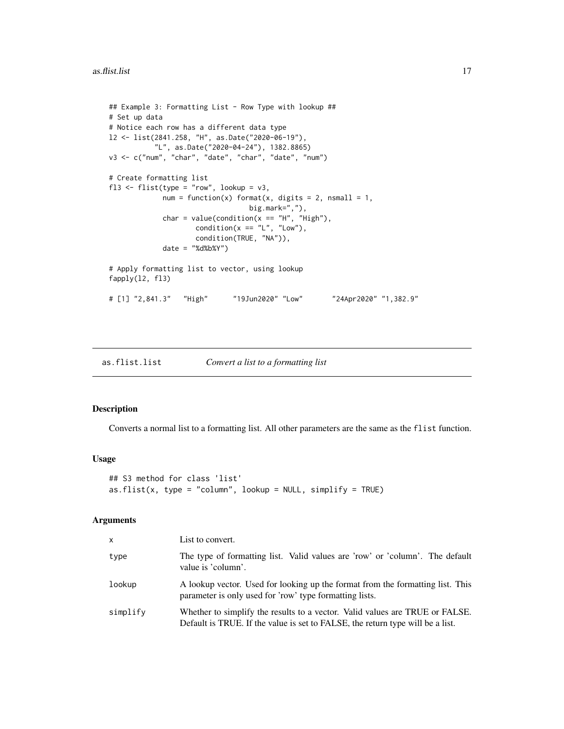```
## Example 3: Formatting List - Row Type with lookup ##
# Set up data
# Notice each row has a different data type
l2 <- list(2841.258, "H", as.Date("2020-06-19"),
          "L", as.Date("2020-04-24"), 1382.8865)
v3 <- c("num", "char", "date", "char", "date", "num")
# Create formatting list
fl3 <- flist(type = "row", lookup = v3,
            num = function(x) format(x, digits = 2, nsmall = 1,big.mark=","),
             char = value(condition(x == "H", "High"),condition(x == "L", "Low",condition(TRUE, "NA")),
            date = "%d%b%Y")
# Apply formatting list to vector, using lookup
fapply(l2, fl3)
# [1] "2,841.3" "High" "19Jun2020" "Low" "24Apr2020" "1,382.9"
```
<span id="page-16-1"></span>

## Description

Converts a normal list to a formatting list. All other parameters are the same as the flist function.

#### Usage

```
## S3 method for class 'list'
as.flist(x, type = "column", lookup = NULL, simplify = TRUE)
```
#### Arguments

| <b>X</b> | List to convert.                                                                                                                                               |  |
|----------|----------------------------------------------------------------------------------------------------------------------------------------------------------------|--|
| type     | The type of formatting list. Valid values are 'row' or 'column'. The default<br>value is 'column'.                                                             |  |
| lookup   | A lookup vector. Used for looking up the format from the formatting list. This<br>parameter is only used for 'row' type formatting lists.                      |  |
| simplify | Whether to simplify the results to a vector. Valid values are TRUE or FALSE.<br>Default is TRUE. If the value is set to FALSE, the return type will be a list. |  |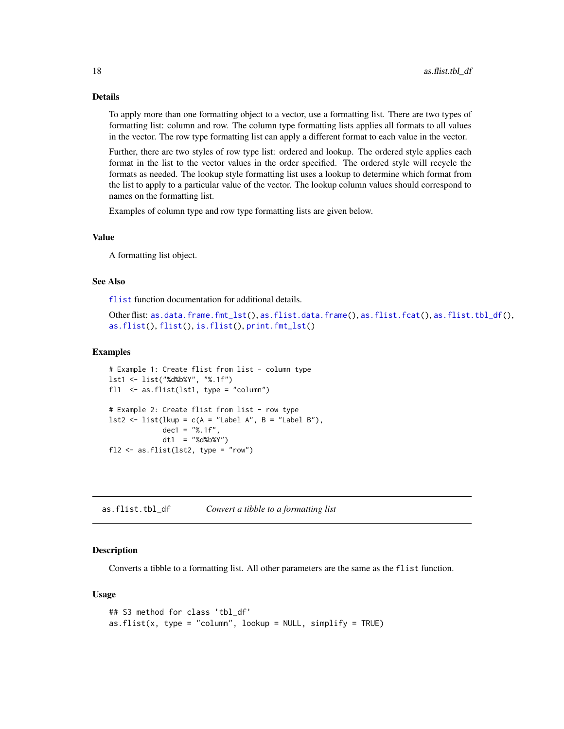#### Details

To apply more than one formatting object to a vector, use a formatting list. There are two types of formatting list: column and row. The column type formatting lists applies all formats to all values in the vector. The row type formatting list can apply a different format to each value in the vector.

Further, there are two styles of row type list: ordered and lookup. The ordered style applies each format in the list to the vector values in the order specified. The ordered style will recycle the formats as needed. The lookup style formatting list uses a lookup to determine which format from the list to apply to a particular value of the vector. The lookup column values should correspond to names on the formatting list.

Examples of column type and row type formatting lists are given below.

#### Value

A formatting list object.

#### See Also

[flist](#page-32-1) function documentation for additional details.

```
Other flist: as.data.frame.fmt_lst(), as.flist.data.frame(), as.flist.fcat(), as.flist.tbl_df(),
as.flist(), flist(), is.flist(), print.fmt_lst()
```
#### Examples

```
# Example 1: Create flist from list - column type
lst1 <- list("%d%b%Y", "%.1f")
fl1 <- as.flist(lst1, type = "column")
# Example 2: Create flist from list - row type
lst2 \leq list(lkup = c(A = "Label A", B = "Label B"),dec1 = "% .1f",
             dt1 = "%d%b%Y")
f12 \leftarrow as.flist(lst2, type = "row")
```
<span id="page-17-1"></span>as.flist.tbl\_df *Convert a tibble to a formatting list*

## Description

Converts a tibble to a formatting list. All other parameters are the same as the flist function.

## Usage

```
## S3 method for class 'tbl_df'
as.flist(x, type = "column", lookup = NULL, simplify = TRUE)
```
<span id="page-17-0"></span>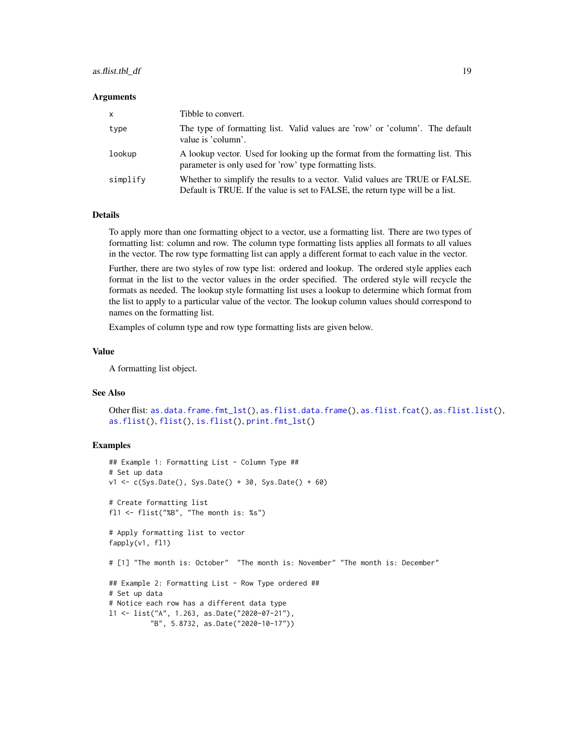## <span id="page-18-0"></span>as.flist.tbl\_df 19

#### **Arguments**

| $\mathsf{x}$ | Tibble to convert.                                                                                                                                             |
|--------------|----------------------------------------------------------------------------------------------------------------------------------------------------------------|
| type         | The type of formatting list. Valid values are 'row' or 'column'. The default<br>value is 'column'.                                                             |
| lookup       | A lookup vector. Used for looking up the format from the formatting list. This<br>parameter is only used for 'row' type formatting lists.                      |
| simplify     | Whether to simplify the results to a vector. Valid values are TRUE or FALSE.<br>Default is TRUE. If the value is set to FALSE, the return type will be a list. |

## Details

To apply more than one formatting object to a vector, use a formatting list. There are two types of formatting list: column and row. The column type formatting lists applies all formats to all values in the vector. The row type formatting list can apply a different format to each value in the vector.

Further, there are two styles of row type list: ordered and lookup. The ordered style applies each format in the list to the vector values in the order specified. The ordered style will recycle the formats as needed. The lookup style formatting list uses a lookup to determine which format from the list to apply to a particular value of the vector. The lookup column values should correspond to names on the formatting list.

Examples of column type and row type formatting lists are given below.

#### Value

A formatting list object.

#### See Also

```
Other flist: as.data.frame.fmt_lst(), as.flist.data.frame(), as.flist.fcat(), as.flist.list(),
as.flist(), flist(), is.flist(), print.fmt_lst()
```

```
## Example 1: Formatting List - Column Type ##
# Set up data
v1 <- c(Sys.Date(), Sys.Date() + 30, Sys.Date() + 60)
# Create formatting list
fl1 <- flist("%B", "The month is: %s")
# Apply formatting list to vector
fapply(v1, fl1)
# [1] "The month is: October" "The month is: November" "The month is: December"
## Example 2: Formatting List - Row Type ordered ##
# Set up data
# Notice each row has a different data type
l1 <- list("A", 1.263, as.Date("2020-07-21"),
          "B", 5.8732, as.Date("2020-10-17"))
```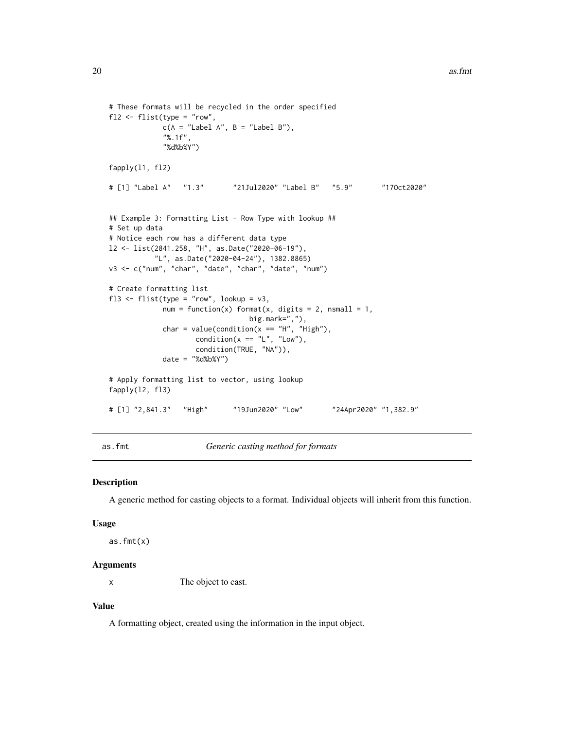```
# These formats will be recycled in the order specified
fl2 <- flist(type = "row",
            c(A = "Label A", B = "Label B"),"%.1f",
            "%d%b%Y")
fapply(l1, fl2)
# [1] "Label A" "1.3" "21Jul2020" "Label B" "5.9" "17Oct2020"
## Example 3: Formatting List - Row Type with lookup ##
# Set up data
# Notice each row has a different data type
l2 <- list(2841.258, "H", as.Date("2020-06-19"),
          "L", as.Date("2020-04-24"), 1382.8865)
v3 <- c("num", "char", "date", "char", "date", "num")
# Create formatting list
fl3 <- flist(type = "row", lookup = v3,
            num = function(x) format(x, digits = 2, nsmall = 1,big.mark=","),
             char = value(condition(x == "H", "High"),condition(x == "L", "Low",condition(TRUE, "NA")),
            date = "%d%b%Y")
# Apply formatting list to vector, using lookup
fapply(l2, fl3)
# [1] "2,841.3" "High" "19Jun2020" "Low" "24Apr2020" "1,382.9"
```
<span id="page-19-1"></span>as.fmt *Generic casting method for formats*

#### Description

A generic method for casting objects to a format. Individual objects will inherit from this function.

#### Usage

 $as.fmt(x)$ 

#### Arguments

x The object to cast.

## Value

A formatting object, created using the information in the input object.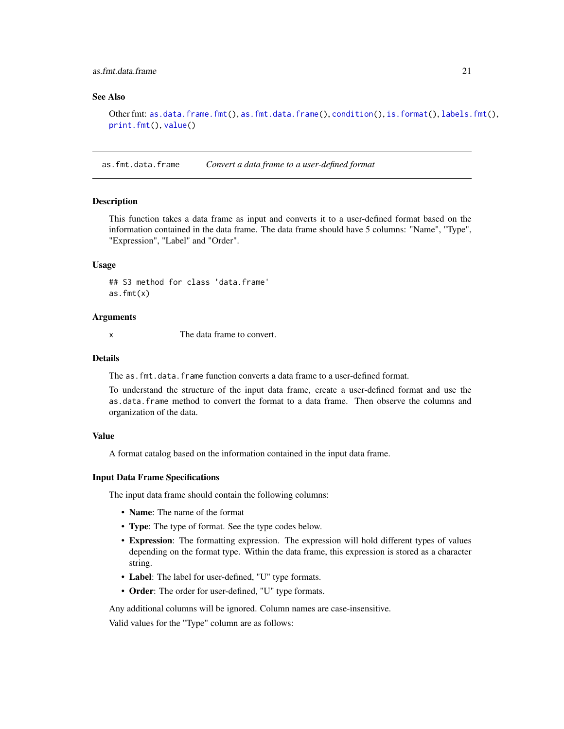## <span id="page-20-0"></span>as.fmt.data.frame 21

## See Also

Other fmt: [as.data.frame.fmt\(](#page-3-1)), [as.fmt.data.frame\(](#page-20-1)), [condition\(](#page-21-1)), [is.format\(](#page-45-1)), [labels.fmt\(](#page-49-1)), [print.fmt\(](#page-51-1)), [value\(](#page-53-1))

<span id="page-20-1"></span>as.fmt.data.frame *Convert a data frame to a user-defined format*

## Description

This function takes a data frame as input and converts it to a user-defined format based on the information contained in the data frame. The data frame should have 5 columns: "Name", "Type", "Expression", "Label" and "Order".

## Usage

## S3 method for class 'data.frame'  $as.fmt(x)$ 

#### Arguments

x The data frame to convert.

## Details

The as.fmt.data.frame function converts a data frame to a user-defined format.

To understand the structure of the input data frame, create a user-defined format and use the as.data.frame method to convert the format to a data frame. Then observe the columns and organization of the data.

## Value

A format catalog based on the information contained in the input data frame.

#### Input Data Frame Specifications

The input data frame should contain the following columns:

- Name: The name of the format
- Type: The type of format. See the type codes below.
- Expression: The formatting expression. The expression will hold different types of values depending on the format type. Within the data frame, this expression is stored as a character string.
- Label: The label for user-defined, "U" type formats.
- Order: The order for user-defined, "U" type formats.

Any additional columns will be ignored. Column names are case-insensitive.

Valid values for the "Type" column are as follows: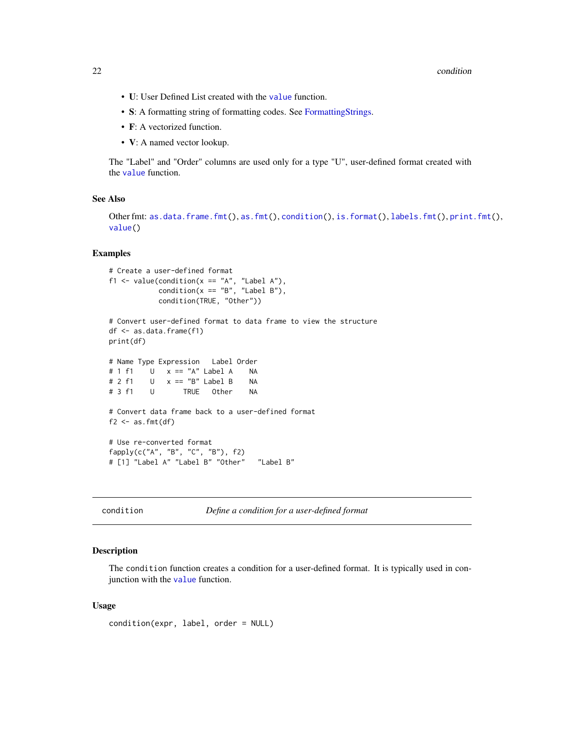#### <span id="page-21-0"></span>22 condition condition of the condition of the condition of the condition of the condition of the condition of the condition of the condition of the condition of the condition of the condition of the condition of the condi

- U: User Defined List created with the [value](#page-53-1) function.
- S: A formatting string of formatting codes. See [FormattingStrings.](#page-42-1)
- F: A vectorized function.
- **V**: A named vector lookup.

The "Label" and "Order" columns are used only for a type "U", user-defined format created with the [value](#page-53-1) function.

## See Also

```
Other fmt: as.data.frame.fmt(), as.fmt(), condition(), is.format(), labels.fmt(), print.fmt(),
value()
```
## Examples

```
# Create a user-defined format
f1 <- value(condition(x == "A", "Label A"),condition(x == "B", "Label B"),condition(TRUE, "Other"))
# Convert user-defined format to data frame to view the structure
df <- as.data.frame(f1)
print(df)
# Name Type Expression Label Order
# 1 f1 U x == "A" Label A NA
# 2 f1 U x == "B" Label B NA
# 3 f1 U TRUE Other NA
# Convert data frame back to a user-defined format
f2 \leftarrow as. fmt(df)# Use re-converted format
fapply(c("A", "B", "C", "B"), f2)
# [1] "Label A" "Label B" "Other" "Label B"
```
<span id="page-21-1"></span>condition *Define a condition for a user-defined format*

#### Description

The condition function creates a condition for a user-defined format. It is typically used in conjunction with the [value](#page-53-1) function.

## Usage

```
condition(expr, label, order = NULL)
```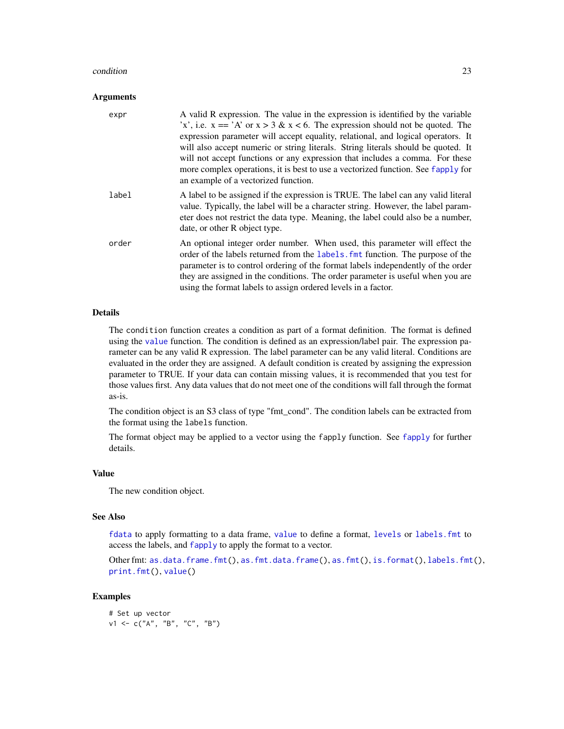#### <span id="page-22-0"></span>condition 23

#### **Arguments**

| expr  | A valid R expression. The value in the expression is identified by the variable<br>'x', i.e. $x == 'A'$ or $x > 3 \& x < 6$ . The expression should not be quoted. The<br>expression parameter will accept equality, relational, and logical operators. It<br>will also accept numeric or string literals. String literals should be quoted. It<br>will not accept functions or any expression that includes a comma. For these<br>more complex operations, it is best to use a vectorized function. See fapply for<br>an example of a vectorized function. |
|-------|-------------------------------------------------------------------------------------------------------------------------------------------------------------------------------------------------------------------------------------------------------------------------------------------------------------------------------------------------------------------------------------------------------------------------------------------------------------------------------------------------------------------------------------------------------------|
| label | A label to be assigned if the expression is TRUE. The label can any valid literal<br>value. Typically, the label will be a character string. However, the label param-<br>eter does not restrict the data type. Meaning, the label could also be a number,<br>date, or other R object type.                                                                                                                                                                                                                                                                 |
| order | An optional integer order number. When used, this parameter will effect the<br>order of the labels returned from the labels. Fint function. The purpose of the<br>parameter is to control ordering of the format labels independently of the order<br>they are assigned in the conditions. The order parameter is useful when you are<br>using the format labels to assign ordered levels in a factor.                                                                                                                                                      |

## Details

The condition function creates a condition as part of a format definition. The format is defined using the [value](#page-53-1) function. The condition is defined as an expression/label pair. The expression parameter can be any valid R expression. The label parameter can be any valid literal. Conditions are evaluated in the order they are assigned. A default condition is created by assigning the expression parameter to TRUE. If your data can contain missing values, it is recommended that you test for those values first. Any data values that do not meet one of the conditions will fall through the format as-is.

The condition object is an S3 class of type "fmt\_cond". The condition labels can be extracted from the format using the labels function.

The format object may be applied to a vector using the fapply function. See [fapply](#page-24-1) for further details.

#### Value

The new condition object.

#### See Also

[fdata](#page-30-1) to apply formatting to a data frame, [value](#page-53-1) to define a format, [levels](#page-0-0) or [labels.fmt](#page-49-1) to access the labels, and [fapply](#page-24-1) to apply the format to a vector.

Other fmt: [as.data.frame.fmt\(](#page-3-1)), [as.fmt.data.frame\(](#page-20-1)), [as.fmt\(](#page-19-1)), [is.format\(](#page-45-1)), [labels.fmt\(](#page-49-1)), [print.fmt\(](#page-51-1)), [value\(](#page-53-1))

## Examples

# Set up vector  $v1 \leq -c("A", "B", "C", "B")$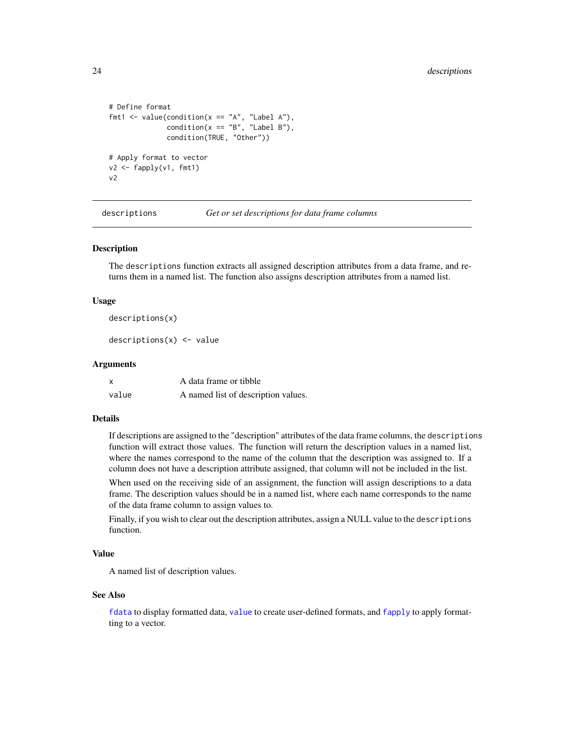```
# Define format
fmt1 <- value(condition(x == "A", "Label A"),condition(x == "B", "Label B"),condition(TRUE, "Other"))
# Apply format to vector
v2 <- fapply(v1, fmt1)
v2
```
descriptions *Get or set descriptions for data frame columns*

## Description

The descriptions function extracts all assigned description attributes from a data frame, and returns them in a named list. The function also assigns description attributes from a named list.

#### Usage

descriptions(x)

 $descriptions(x) < - value$ 

#### Arguments

| x     | A data frame or tibble              |
|-------|-------------------------------------|
| value | A named list of description values. |

#### Details

If descriptions are assigned to the "description" attributes of the data frame columns, the descriptions function will extract those values. The function will return the description values in a named list, where the names correspond to the name of the column that the description was assigned to. If a column does not have a description attribute assigned, that column will not be included in the list.

When used on the receiving side of an assignment, the function will assign descriptions to a data frame. The description values should be in a named list, where each name corresponds to the name of the data frame column to assign values to.

Finally, if you wish to clear out the description attributes, assign a NULL value to the descriptions function.

#### Value

A named list of description values.

#### See Also

[fdata](#page-30-1) to display formatted data, [value](#page-53-1) to create user-defined formats, and [fapply](#page-24-1) to apply formatting to a vector.

<span id="page-23-0"></span>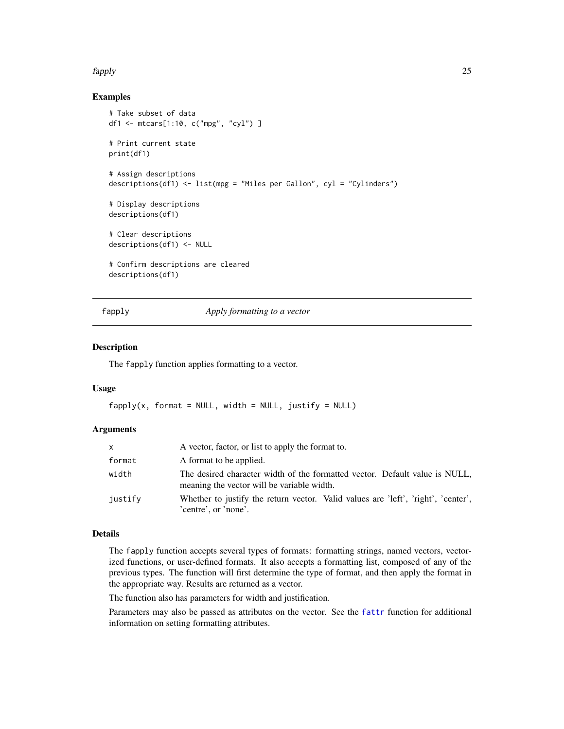#### <span id="page-24-0"></span>fapply 25

## Examples

```
# Take subset of data
df1 <- mtcars[1:10, c("mpg", "cyl") ]
# Print current state
print(df1)
# Assign descriptions
descriptions(df1) <- list(mpg = "Miles per Gallon", cyl = "Cylinders")
# Display descriptions
descriptions(df1)
# Clear descriptions
descriptions(df1) <- NULL
# Confirm descriptions are cleared
descriptions(df1)
```
fapply *Apply formatting to a vector*

## Description

The fapply function applies formatting to a vector.

## Usage

```
fapply(x, format = NULL, width = NULL, justify = NULL)
```
## Arguments

| $\mathsf{x}$ | A vector, factor, or list to apply the format to.                                                                         |
|--------------|---------------------------------------------------------------------------------------------------------------------------|
| format       | A format to be applied.                                                                                                   |
| width        | The desired character width of the formatted vector. Default value is NULL,<br>meaning the vector will be variable width. |
| justify      | Whether to justify the return vector. Valid values are 'left', 'right', 'center',<br>'centre', or 'none'.                 |

## Details

The fapply function accepts several types of formats: formatting strings, named vectors, vectorized functions, or user-defined formats. It also accepts a formatting list, composed of any of the previous types. The function will first determine the type of format, and then apply the format in the appropriate way. Results are returned as a vector.

The function also has parameters for width and justification.

Parameters may also be passed as attributes on the vector. See the [fattr](#page-27-1) function for additional information on setting formatting attributes.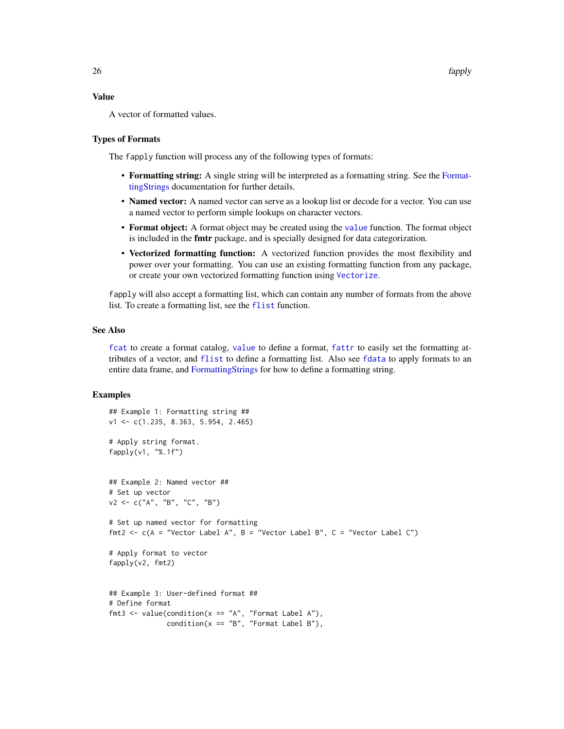#### <span id="page-25-0"></span>Value

A vector of formatted values.

#### Types of Formats

The fapply function will process any of the following types of formats:

- Formatting string: A single string will be interpreted as a formatting string. See the [Format](#page-42-1)[tingStrings](#page-42-1) documentation for further details.
- Named vector: A named vector can serve as a lookup list or decode for a vector. You can use a named vector to perform simple lookups on character vectors.
- Format object: A format object may be created using the [value](#page-53-1) function. The format object is included in the fmtr package, and is specially designed for data categorization.
- Vectorized formatting function: A vectorized function provides the most flexibility and power over your formatting. You can use an existing formatting function from any package, or create your own vectorized formatting function using [Vectorize](#page-0-0).

fapply will also accept a formatting list, which can contain any number of formats from the above list. To create a formatting list, see the [flist](#page-32-1) function.

## See Also

[fcat](#page-29-1) to create a format catalog, [value](#page-53-1) to define a format, [fattr](#page-27-1) to easily set the formatting attributes of a vector, and [flist](#page-32-1) to define a formatting list. Also see [fdata](#page-30-1) to apply formats to an entire data frame, and [FormattingStrings](#page-42-1) for how to define a formatting string.

```
## Example 1: Formatting string ##
v1 <- c(1.235, 8.363, 5.954, 2.465)
# Apply string format.
fapply(v1, "%.1f")
## Example 2: Named vector ##
# Set up vector
v2 \leq -c("A", "B", "C", "B")# Set up named vector for formatting
fmt2 <- c(A = "Vector Label A", B = "Vector Label B", C = "Vector Label C")
# Apply format to vector
fapply(v2, fmt2)
## Example 3: User-defined format ##
# Define format
fmt3 <- value(condition(x == "A", "Format Label A"),condition(x == "B", "Format Label B"),
```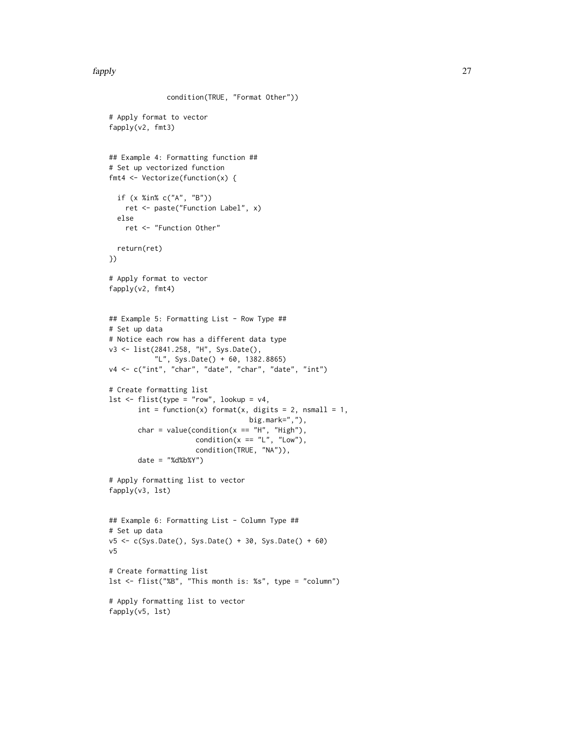```
condition(TRUE, "Format Other"))
# Apply format to vector
fapply(v2, fmt3)
## Example 4: Formatting function ##
# Set up vectorized function
fmt4 <- Vectorize(function(x) {
  if (x %in% c("A", "B"))
   ret <- paste("Function Label", x)
  else
   ret <- "Function Other"
 return(ret)
})
# Apply format to vector
fapply(v2, fmt4)
## Example 5: Formatting List - Row Type ##
# Set up data
# Notice each row has a different data type
v3 <- list(2841.258, "H", Sys.Date(),
          "L", Sys.Date() + 60, 1382.8865)
v4 <- c("int", "char", "date", "char", "date", "int")
# Create formatting list
lst <- flist(type = "row", lookup = v4,
      int = function(x) format(x, digits = 2, nsmall = 1,
                                  big.mark=","),
       char = value(condition(x == "H", "High"),condition(x == "L", "Low",condition(TRUE, "NA")),
       date = "%d%b%Y")# Apply formatting list to vector
fapply(v3, lst)
## Example 6: Formatting List - Column Type ##
# Set up data
v5 <- c(Sys.Date(), Sys.Date() + 30, Sys.Date() + 60)
v5
# Create formatting list
lst <- flist("%B", "This month is: %s", type = "column")
# Apply formatting list to vector
fapply(v5, lst)
```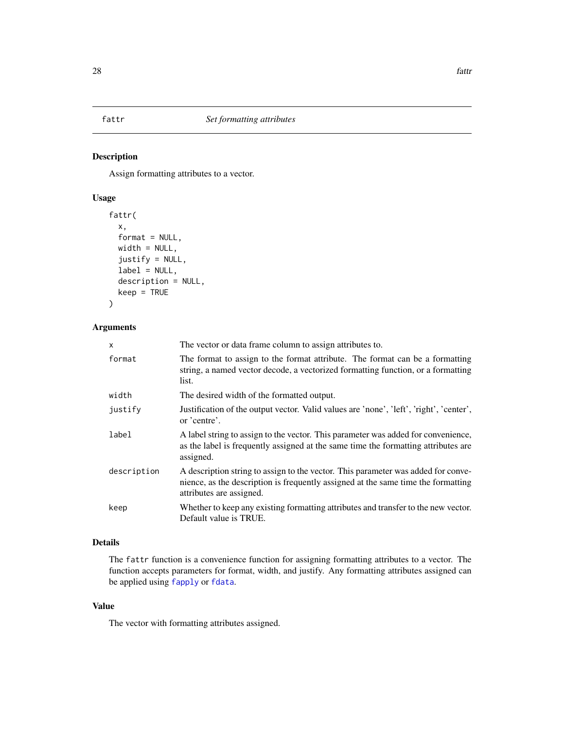<span id="page-27-1"></span><span id="page-27-0"></span>

## Description

Assign formatting attributes to a vector.

## Usage

```
fattr(
  x,
  format = NULL,width = NULL,
  justify = NULL,
  label = NULL,
  description = NULL,
  keep = TRUE
)
```
## Arguments

| $\mathsf{x}$ | The vector or data frame column to assign attributes to.                                                                                                                                           |
|--------------|----------------------------------------------------------------------------------------------------------------------------------------------------------------------------------------------------|
| format       | The format to assign to the format attribute. The format can be a formatting<br>string, a named vector decode, a vectorized formatting function, or a formatting<br>list.                          |
| width        | The desired width of the formatted output.                                                                                                                                                         |
| justify      | Justification of the output vector. Valid values are 'none', 'left', 'right', 'center',<br>or 'centre'.                                                                                            |
| label        | A label string to assign to the vector. This parameter was added for convenience,<br>as the label is frequently assigned at the same time the formatting attributes are<br>assigned.               |
| description  | A description string to assign to the vector. This parameter was added for conve-<br>nience, as the description is frequently assigned at the same time the formatting<br>attributes are assigned. |
| keep         | Whether to keep any existing formatting attributes and transfer to the new vector.<br>Default value is TRUE.                                                                                       |

## Details

The fattr function is a convenience function for assigning formatting attributes to a vector. The function accepts parameters for format, width, and justify. Any formatting attributes assigned can be applied using [fapply](#page-24-1) or [fdata](#page-30-1).

## Value

The vector with formatting attributes assigned.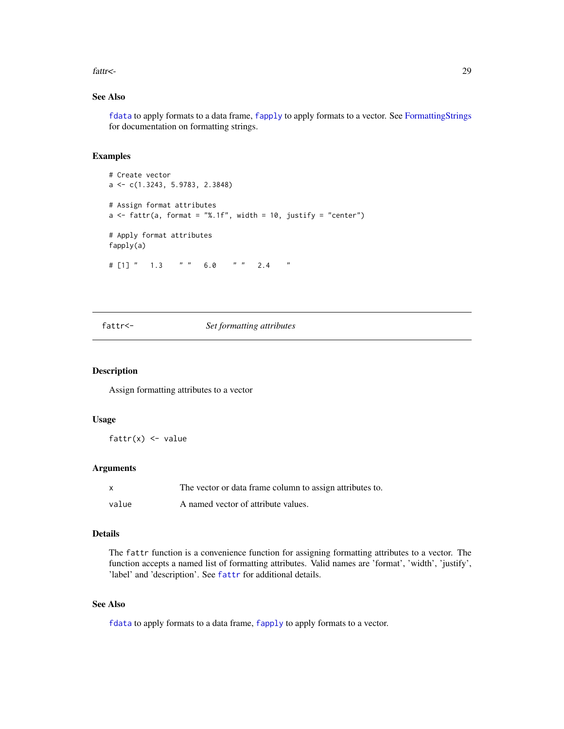<span id="page-28-0"></span>fattr<- 29

## See Also

[fdata](#page-30-1) to apply formats to a data frame, [fapply](#page-24-1) to apply formats to a vector. See [FormattingStrings](#page-42-1) for documentation on formatting strings.

## Examples

```
# Create vector
a <- c(1.3243, 5.9783, 2.3848)
# Assign format attributes
a \leq fattr(a, format = "%.1f", width = 10, justify = "center")
# Apply format attributes
fapply(a)
# [1] " 1.3 " " 6.0 " " 2.4 "
```
## fattr<- *Set formatting attributes*

#### Description

Assign formatting attributes to a vector

#### Usage

 $fattr(x) \leq value$ 

#### Arguments

| X     | The vector or data frame column to assign attributes to. |
|-------|----------------------------------------------------------|
| value | A named vector of attribute values.                      |

## Details

The fattr function is a convenience function for assigning formatting attributes to a vector. The function accepts a named list of formatting attributes. Valid names are 'format', 'width', 'justify', 'label' and 'description'. See [fattr](#page-27-1) for additional details.

## See Also

[fdata](#page-30-1) to apply formats to a data frame, [fapply](#page-24-1) to apply formats to a vector.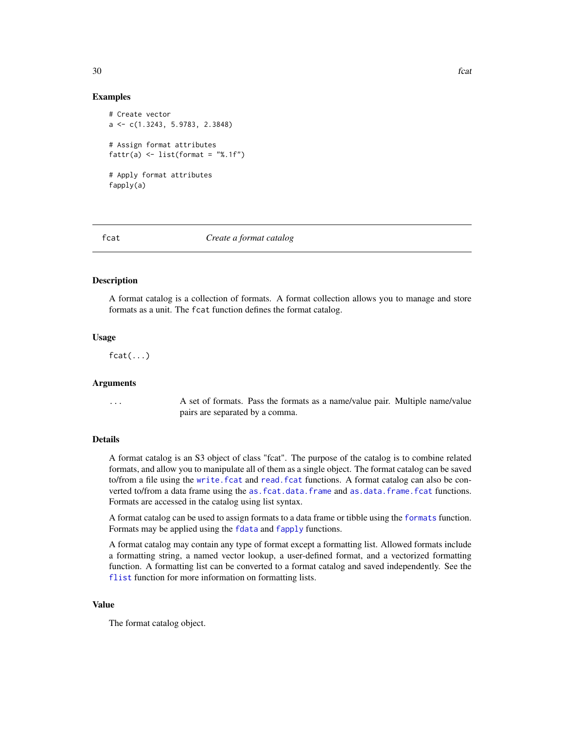## Examples

```
# Create vector
a <- c(1.3243, 5.9783, 2.3848)
# Assign format attributes
fattr(a) \leftarrow list(format = "%.1f")# Apply format attributes
fapply(a)
```
#### <span id="page-29-1"></span>fcat *Create a format catalog*

## Description

A format catalog is a collection of formats. A format collection allows you to manage and store formats as a unit. The fcat function defines the format catalog.

#### Usage

 $fcat(...)$ 

## Arguments

... A set of formats. Pass the formats as a name/value pair. Multiple name/value pairs are separated by a comma.

#### Details

A format catalog is an S3 object of class "fcat". The purpose of the catalog is to combine related formats, and allow you to manipulate all of them as a single object. The format catalog can be saved to/from a file using the [write.fcat](#page-56-1) and [read.fcat](#page-52-1) functions. A format catalog can also be converted to/from a data frame using the [as.fcat.data.frame](#page-5-1) and [as.data.frame.fcat](#page-2-1) functions. Formats are accessed in the catalog using list syntax.

A format catalog can be used to assign formats to a data frame or tibble using the [formats](#page-41-1) function. Formats may be applied using the [fdata](#page-30-1) and [fapply](#page-24-1) functions.

A format catalog may contain any type of format except a formatting list. Allowed formats include a formatting string, a named vector lookup, a user-defined format, and a vectorized formatting function. A formatting list can be converted to a format catalog and saved independently. See the [flist](#page-32-1) function for more information on formatting lists.

## Value

The format catalog object.

<span id="page-29-0"></span>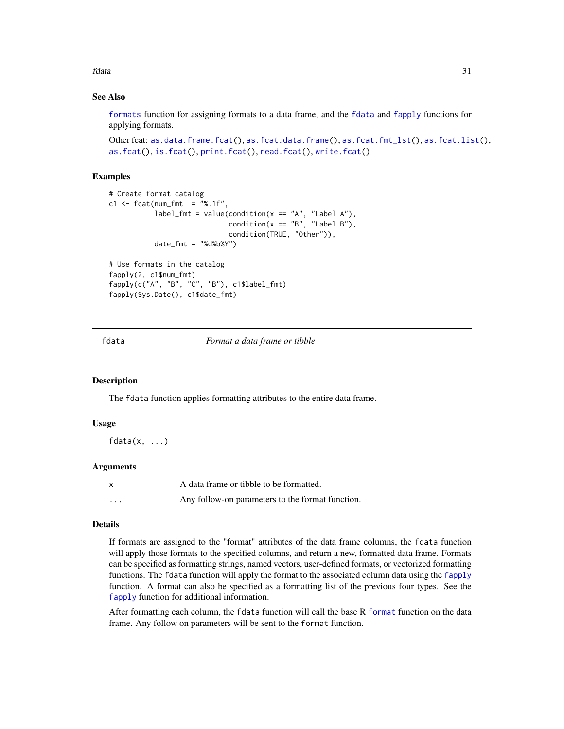<span id="page-30-0"></span>fdata 31

## See Also

[formats](#page-41-1) function for assigning formats to a data frame, and the [fdata](#page-30-1) and [fapply](#page-24-1) functions for applying formats.

```
Other fcat: as.data.frame.fcat(), as.fcat.data.frame(), as.fcat.fmt_lst(), as.fcat.list(),
as.fcat(), is.fcat(), print.fcat(), read.fcat(), write.fcat()
```
## Examples

```
# Create format catalog
c1 \leq - fcat(num_fmt = "%.1f",
           label_fmt = value(condition(x == "A", "Label A"),condition(x == "B", "Label B"),condition(TRUE, "Other")),
           date_fmt = "ddbxy"# Use formats in the catalog
fapply(2, c1$num_fmt)
```

```
fapply(c("A", "B", "C", "B"), c1$label_fmt)
fapply(Sys.Date(), c1$date_fmt)
```
<span id="page-30-1"></span>

fdata *Format a data frame or tibble*

#### **Description**

The fdata function applies formatting attributes to the entire data frame.

#### Usage

 $fdata(x, \ldots)$ 

## Arguments

|          | A data frame or tibble to be formatted.          |
|----------|--------------------------------------------------|
| $\cdots$ | Any follow-on parameters to the format function. |

## Details

If formats are assigned to the "format" attributes of the data frame columns, the fdata function will apply those formats to the specified columns, and return a new, formatted data frame. Formats can be specified as formatting strings, named vectors, user-defined formats, or vectorized formatting functions. The fdata function will apply the format to the associated column data using the [fapply](#page-24-1) function. A format can also be specified as a formatting list of the previous four types. See the [fapply](#page-24-1) function for additional information.

After formatting each column, the fdata function will call the base R [format](#page-0-0) function on the data frame. Any follow on parameters will be sent to the format function.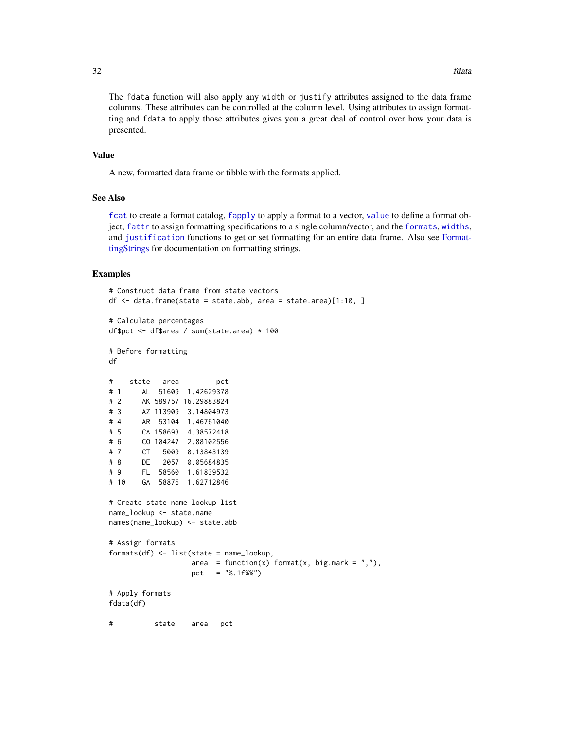<span id="page-31-0"></span>The fdata function will also apply any width or justify attributes assigned to the data frame columns. These attributes can be controlled at the column level. Using attributes to assign formatting and fdata to apply those attributes gives you a great deal of control over how your data is presented.

#### Value

A new, formatted data frame or tibble with the formats applied.

## See Also

[fcat](#page-29-1) to create a format catalog, [fapply](#page-24-1) to apply a format to a vector, [value](#page-53-1) to define a format object, [fattr](#page-27-1) to assign formatting specifications to a single column/vector, and the [formats](#page-41-1), [widths](#page-55-1), and [justification](#page-46-1) functions to get or set formatting for an entire data frame. Also see [Format](#page-42-1)[tingStrings](#page-42-1) for documentation on formatting strings.

```
# Construct data frame from state vectors
df <- data.frame(state = state.abb, area = state.area)[1:10, ]
# Calculate percentages
df$pct <- df$area / sum(state.area) * 100
# Before formatting
df
# state area pct
# 1 AL 51609 1.42629378
# 2 AK 589757 16.29883824
# 3 AZ 113909 3.14804973
# 4 AR 53104 1.46761040
# 5 CA 158693 4.38572418
# 6 CO 104247 2.88102556
# 7 CT 5009 0.13843139
# 8 DE 2057 0.05684835
# 9 FL 58560 1.61839532
# 10 GA 58876 1.62712846
# Create state name lookup list
name_lookup <- state.name
names(name_lookup) <- state.abb
# Assign formats
formats(df) <- list(state = name_lookup,
                  area = function(x) format(x, big.mark = ","),
                  pct = "%.1f%%")
# Apply formats
fdata(df)
# state area pct
```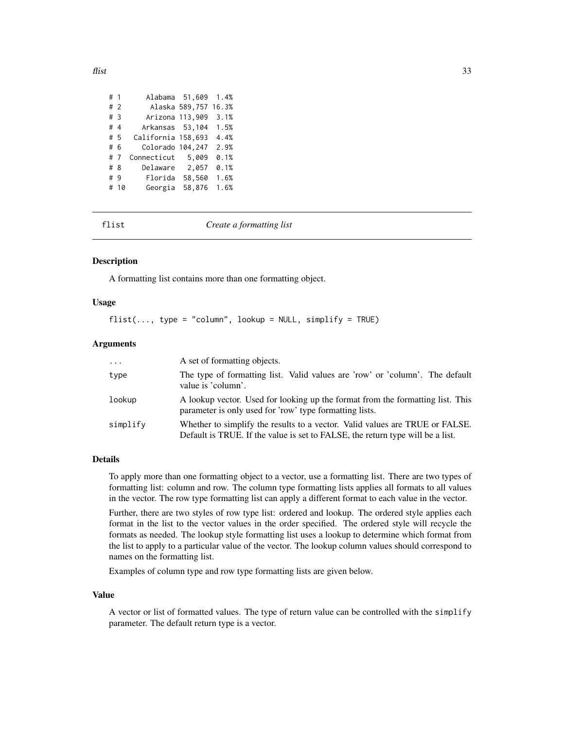<span id="page-32-0"></span>

| # 1 |      | Alabama 51,609     |                | 1.4%  |
|-----|------|--------------------|----------------|-------|
| #2  |      |                    | Alaska 589,757 | 16.3% |
| #3  |      | Arizona 113,909    |                | 3.1%  |
| #4  |      | Arkansas 53,104    |                | 1.5%  |
| # 5 |      | California 158,693 |                | 4.4%  |
| # 6 |      | Colorado 104,247   |                | 2.9%  |
| # 7 |      | Connecticut        | 5,009          | 0.1%  |
| #8  |      | Delaware           | 2,057          | 0.1%  |
| #9  |      | Florida            | 58,560         | 1.6%  |
|     | # 10 | Georgia            | 58,876         | 1.6%  |
|     |      |                    |                |       |

<span id="page-32-1"></span>

flist *Create a formatting list*

#### Description

A formatting list contains more than one formatting object.

## Usage

 $first(\ldots, type = "column", lookup = NULL, simplify = TRUE)$ 

## Arguments

| $\cdot \cdot \cdot$ | A set of formatting objects.                                                                                                                                   |
|---------------------|----------------------------------------------------------------------------------------------------------------------------------------------------------------|
| type                | The type of formatting list. Valid values are 'row' or 'column'. The default<br>value is 'column'.                                                             |
| lookup              | A lookup vector. Used for looking up the format from the formatting list. This<br>parameter is only used for 'row' type formatting lists.                      |
| simplify            | Whether to simplify the results to a vector. Valid values are TRUE or FALSE.<br>Default is TRUE. If the value is set to FALSE, the return type will be a list. |

## Details

To apply more than one formatting object to a vector, use a formatting list. There are two types of formatting list: column and row. The column type formatting lists applies all formats to all values in the vector. The row type formatting list can apply a different format to each value in the vector.

Further, there are two styles of row type list: ordered and lookup. The ordered style applies each format in the list to the vector values in the order specified. The ordered style will recycle the formats as needed. The lookup style formatting list uses a lookup to determine which format from the list to apply to a particular value of the vector. The lookup column values should correspond to names on the formatting list.

Examples of column type and row type formatting lists are given below.

#### Value

A vector or list of formatted values. The type of return value can be controlled with the simplify parameter. The default return type is a vector.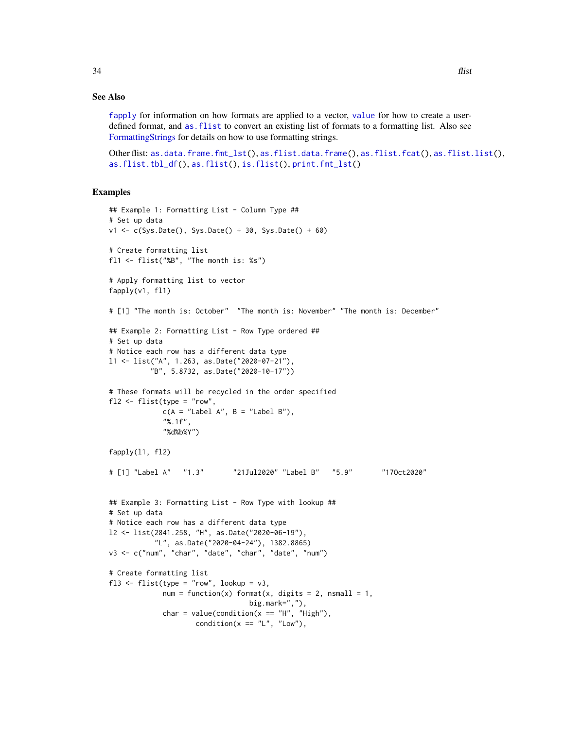<span id="page-33-0"></span>[fapply](#page-24-1) for information on how formats are applied to a vector, [value](#page-53-1) for how to create a userdefined format, and [as.flist](#page-10-1) to convert an existing list of formats to a formatting list. Also see [FormattingStrings](#page-42-1) for details on how to use formatting strings.

Other flist: [as.data.frame.fmt\\_lst\(](#page-4-1)), [as.flist.data.frame\(](#page-12-1)), [as.flist.fcat\(](#page-14-1)), [as.flist.list\(](#page-16-1)), [as.flist.tbl\\_df\(](#page-17-1)), [as.flist\(](#page-10-1)), [is.flist\(](#page-45-2)), [print.fmt\\_lst\(](#page-52-2))

```
## Example 1: Formatting List - Column Type ##
# Set up data
v1 <- c(Sys.Date(), Sys.Date() + 30, Sys.Date() + 60)
# Create formatting list
fl1 <- flist("%B", "The month is: %s")
# Apply formatting list to vector
fapply(v1, fl1)
# [1] "The month is: October" "The month is: November" "The month is: December"
## Example 2: Formatting List - Row Type ordered ##
# Set up data
# Notice each row has a different data type
l1 <- list("A", 1.263, as.Date("2020-07-21"),
          "B", 5.8732, as.Date("2020-10-17"))
# These formats will be recycled in the order specified
f12 \leftarrow \text{flist(type} = "row",c(A = "Label A", B = "Label B"),"%.1f",
             "%d%b%Y")
fapply(l1, fl2)
# [1] "Label A" "1.3" "21Jul2020" "Label B" "5.9" "17Oct2020"
## Example 3: Formatting List - Row Type with lookup ##
# Set up data
# Notice each row has a different data type
l2 <- list(2841.258, "H", as.Date("2020-06-19"),
           "L", as.Date("2020-04-24"), 1382.8865)
v3 <- c("num", "char", "date", "char", "date", "num")
# Create formatting list
fl3 <- flist(type = "row", lookup = v3,
             num = function(x) format(x, digits = 2, nsmall = 1,
                                  big.mark=","),
             char = value(condition(x == "H", "High"),
                     condition(x == "L", "Low",
```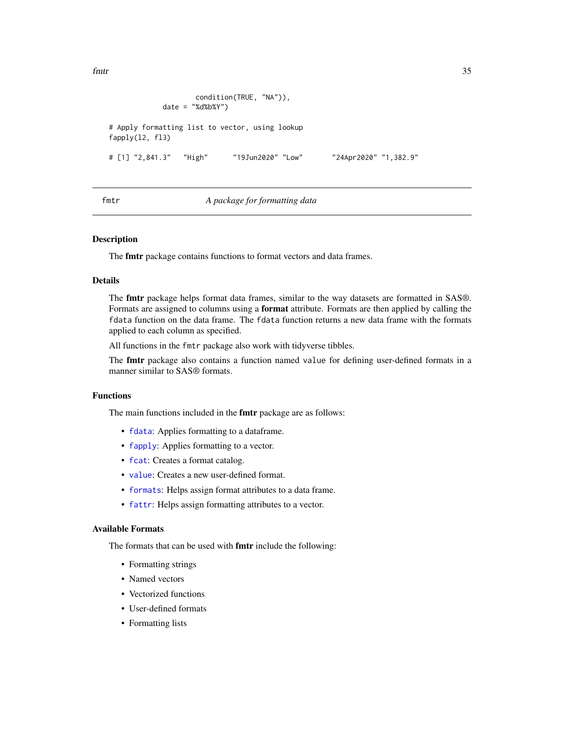<span id="page-34-0"></span>fmtr 35

```
condition(TRUE, "NA")),
            date = "%d%b%Y")
# Apply formatting list to vector, using lookup
fapply(l2, fl3)
# [1] "2,841.3" "High" "19Jun2020" "Low" "24Apr2020" "1,382.9"
```
## fmtr *A package for formatting data*

#### Description

The fmtr package contains functions to format vectors and data frames.

## Details

The fmtr package helps format data frames, similar to the way datasets are formatted in SAS®. Formats are assigned to columns using a format attribute. Formats are then applied by calling the fdata function on the data frame. The fdata function returns a new data frame with the formats applied to each column as specified.

All functions in the fmtr package also work with tidyverse tibbles.

The **fmtr** package also contains a function named value for defining user-defined formats in a manner similar to SAS® formats.

#### Functions

The main functions included in the **fmtr** package are as follows:

- [fdata](#page-30-1): Applies formatting to a dataframe.
- [fapply](#page-24-1): Applies formatting to a vector.
- [fcat](#page-29-1): Creates a format catalog.
- [value](#page-53-1): Creates a new user-defined format.
- [formats](#page-41-1): Helps assign format attributes to a data frame.
- [fattr](#page-27-1): Helps assign formatting attributes to a vector.

## Available Formats

The formats that can be used with fmtr include the following:

- Formatting strings
- Named vectors
- Vectorized functions
- User-defined formats
- Formatting lists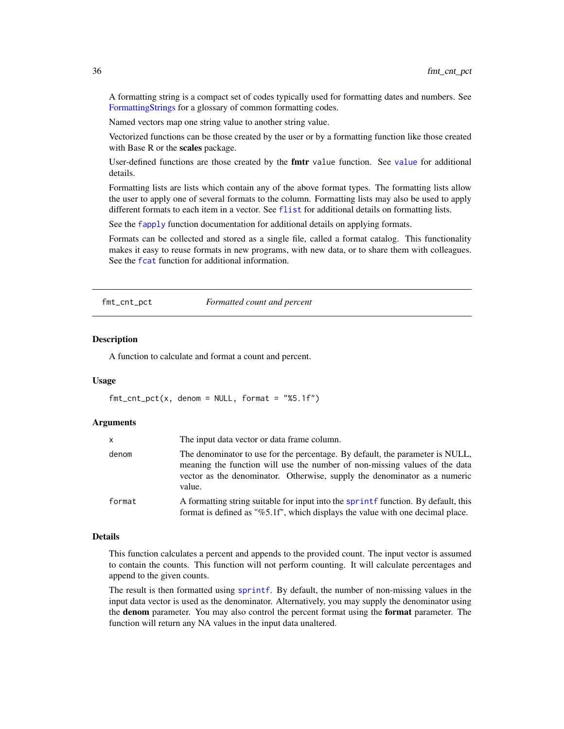A formatting string is a compact set of codes typically used for formatting dates and numbers. See [FormattingStrings](#page-42-1) for a glossary of common formatting codes.

Named vectors map one string value to another string value.

Vectorized functions can be those created by the user or by a formatting function like those created with Base R or the scales package.

User-defined functions are those created by the **fmtr** [value](#page-53-1) function. See value for additional details.

Formatting lists are lists which contain any of the above format types. The formatting lists allow the user to apply one of several formats to the column. Formatting lists may also be used to apply different formats to each item in a vector. See [flist](#page-32-1) for additional details on formatting lists.

See the [fapply](#page-24-1) function documentation for additional details on applying formats.

Formats can be collected and stored as a single file, called a format catalog. This functionality makes it easy to reuse formats in new programs, with new data, or to share them with colleagues. See the [fcat](#page-29-1) function for additional information.

<span id="page-35-1"></span>fmt\_cnt\_pct *Formatted count and percent*

#### Description

A function to calculate and format a count and percent.

## Usage

 $fmt_cnt_pct(x,$  denom = NULL, format =  $"85.1f")$ 

#### Arguments

| x      | The input data vector or data frame column.                                                                                                                                                                                                        |
|--------|----------------------------------------------------------------------------------------------------------------------------------------------------------------------------------------------------------------------------------------------------|
| denom  | The denominator to use for the percentage. By default, the parameter is NULL,<br>meaning the function will use the number of non-missing values of the data<br>vector as the denominator. Otherwise, supply the denominator as a numeric<br>value. |
| format | A formatting string suitable for input into the sprint function. By default, this<br>format is defined as "%5.1f", which displays the value with one decimal place.                                                                                |

## Details

This function calculates a percent and appends to the provided count. The input vector is assumed to contain the counts. This function will not perform counting. It will calculate percentages and append to the given counts.

The result is then formatted using [sprintf](#page-0-0). By default, the number of non-missing values in the input data vector is used as the denominator. Alternatively, you may supply the denominator using the denom parameter. You may also control the percent format using the format parameter. The function will return any NA values in the input data unaltered.

<span id="page-35-0"></span>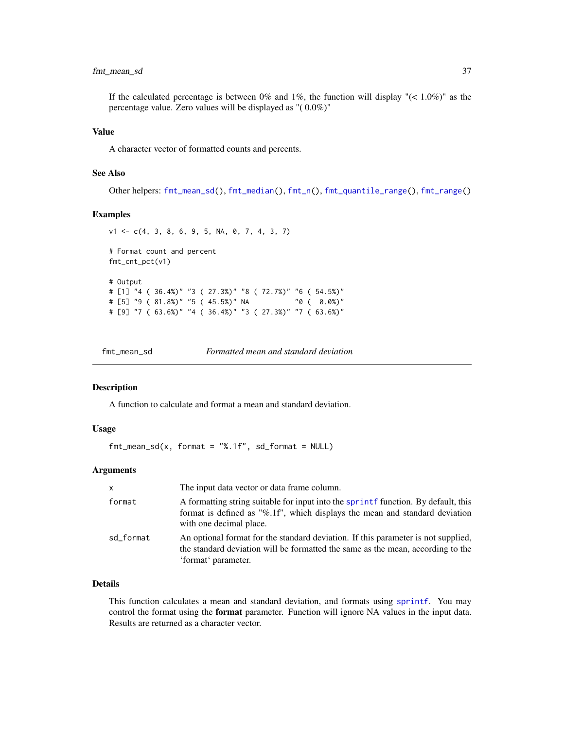## <span id="page-36-0"></span>fmt\_mean\_sd 37

If the calculated percentage is between 0% and 1%, the function will display " $(< 1.0\%)$ " as the percentage value. Zero values will be displayed as "( 0.0%)"

## Value

A character vector of formatted counts and percents.

## See Also

Other helpers: [fmt\\_mean\\_sd\(](#page-36-1)), [fmt\\_median\(](#page-37-1)), [fmt\\_n\(](#page-38-1)), [fmt\\_quantile\\_range\(](#page-39-1)), [fmt\\_range\(](#page-40-1))

#### Examples

```
v1 <- c(4, 3, 8, 6, 9, 5, NA, 0, 7, 4, 3, 7)
# Format count and percent
fmt_cnt_pct(v1)
# Output
# [1] "4 ( 36.4%)" "3 ( 27.3%)" "8 ( 72.7%)" "6 ( 54.5%)"
# [5] "9 ( 81.8%)" "5 ( 45.5%)" NA "0 ( 0.0%)"
# [9] "7 ( 63.6%)" "4 ( 36.4%)" "3 ( 27.3%)" "7 ( 63.6%)"
```
<span id="page-36-1"></span>

## Description

A function to calculate and format a mean and standard deviation.

## Usage

```
fmt_mean_s d(x, format = "%.1f", sd_format = NULL)
```
## Arguments

| $\mathsf{x}$ | The input data vector or data frame column.                                                                                                                                                 |
|--------------|---------------------------------------------------------------------------------------------------------------------------------------------------------------------------------------------|
| format       | A formatting string suitable for input into the sprint function. By default, this<br>format is defined as "%.1f", which displays the mean and standard deviation<br>with one decimal place. |
| sd_format    | An optional format for the standard deviation. If this parameter is not supplied,<br>the standard deviation will be formatted the same as the mean, according to the<br>'format' parameter. |

## Details

This function calculates a mean and standard deviation, and formats using [sprintf](#page-0-0). You may control the format using the **format** parameter. Function will ignore NA values in the input data. Results are returned as a character vector.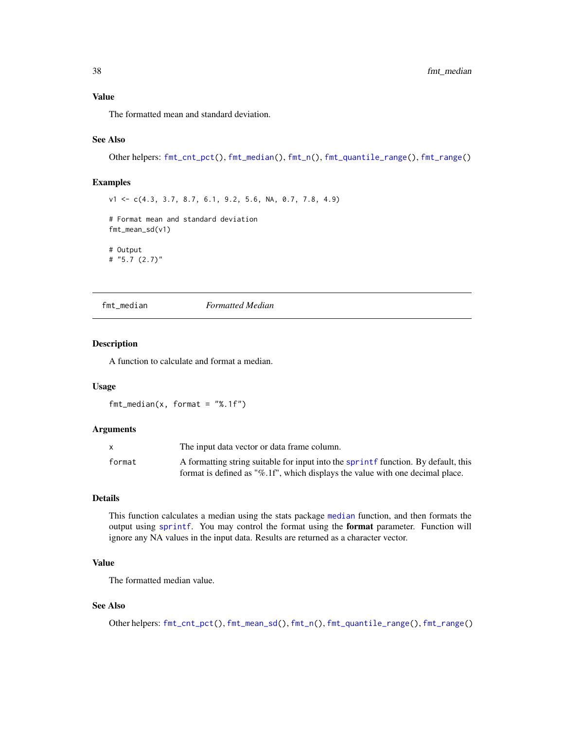## <span id="page-37-0"></span>Value

The formatted mean and standard deviation.

## See Also

Other helpers: [fmt\\_cnt\\_pct\(](#page-35-1)), [fmt\\_median\(](#page-37-1)), [fmt\\_n\(](#page-38-1)), [fmt\\_quantile\\_range\(](#page-39-1)), [fmt\\_range\(](#page-40-1))

## Examples

v1 <- c(4.3, 3.7, 8.7, 6.1, 9.2, 5.6, NA, 0.7, 7.8, 4.9)

# Format mean and standard deviation fmt\_mean\_sd(v1)

# Output # "5.7 (2.7)"

<span id="page-37-1"></span>fmt\_median *Formatted Median*

## Description

A function to calculate and format a median.

#### Usage

 $fmt_m$ edian(x, format = "%.1f")

#### Arguments

|        | The input data vector or data frame column.                                       |
|--------|-----------------------------------------------------------------------------------|
| format | A formatting string suitable for input into the sprint function. By default, this |
|        | format is defined as "%.1f", which displays the value with one decimal place.     |

#### Details

This function calculates a median using the stats package [median](#page-0-0) function, and then formats the output using [sprintf](#page-0-0). You may control the format using the format parameter. Function will ignore any NA values in the input data. Results are returned as a character vector.

## Value

The formatted median value.

## See Also

Other helpers: [fmt\\_cnt\\_pct\(](#page-35-1)), [fmt\\_mean\\_sd\(](#page-36-1)), [fmt\\_n\(](#page-38-1)), [fmt\\_quantile\\_range\(](#page-39-1)), [fmt\\_range\(](#page-40-1))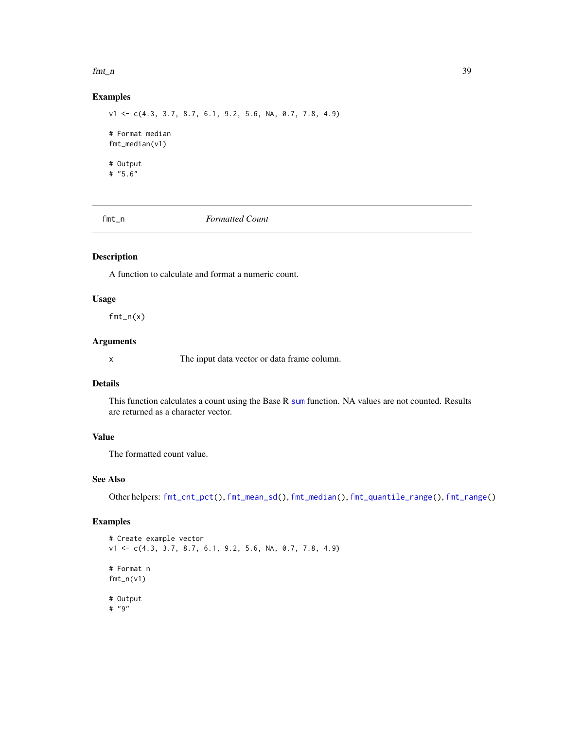#### <span id="page-38-0"></span> $fmt_n$  39

## Examples

v1 <- c(4.3, 3.7, 8.7, 6.1, 9.2, 5.6, NA, 0.7, 7.8, 4.9) # Format median fmt\_median(v1) # Output # "5.6"

<span id="page-38-1"></span>fmt\_n *Formatted Count*

## Description

A function to calculate and format a numeric count.

## Usage

 $fmt_n(x)$ 

## Arguments

x The input data vector or data frame column.

## Details

This function calculates a count using the Base R [sum](#page-0-0) function. NA values are not counted. Results are returned as a character vector.

## Value

The formatted count value.

## See Also

Other helpers: [fmt\\_cnt\\_pct\(](#page-35-1)), [fmt\\_mean\\_sd\(](#page-36-1)), [fmt\\_median\(](#page-37-1)), [fmt\\_quantile\\_range\(](#page-39-1)), [fmt\\_range\(](#page-40-1))

```
# Create example vector
v1 <- c(4.3, 3.7, 8.7, 6.1, 9.2, 5.6, NA, 0.7, 7.8, 4.9)
# Format n
fmt_n(v1)# Output
# "9"
```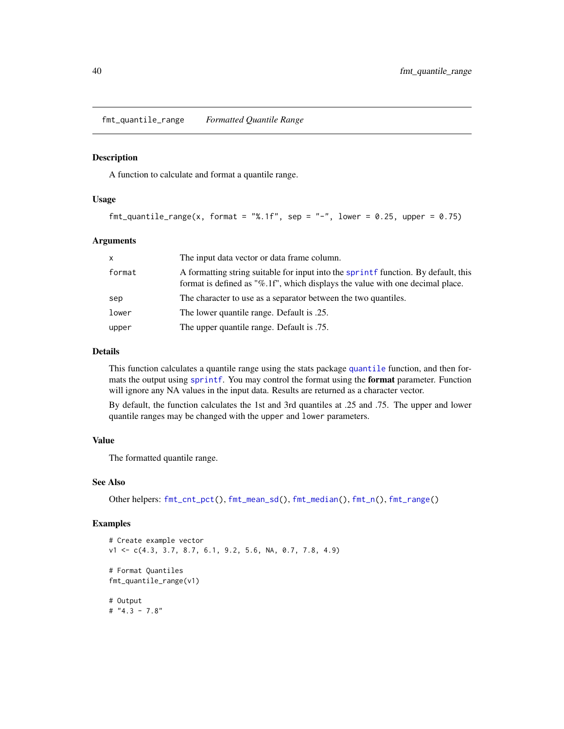<span id="page-39-1"></span><span id="page-39-0"></span>fmt\_quantile\_range *Formatted Quantile Range*

#### Description

A function to calculate and format a quantile range.

## Usage

```
fmt_quantile_range(x, format = "%.1f", sep = "-", lower = 0.25, upper = 0.75)
```
## Arguments

| X      | The input data vector or data frame column.                                                                                                                        |
|--------|--------------------------------------------------------------------------------------------------------------------------------------------------------------------|
| format | A formatting string suitable for input into the sprint function. By default, this<br>format is defined as "%.1f", which displays the value with one decimal place. |
| sep    | The character to use as a separator between the two quantiles.                                                                                                     |
| lower  | The lower quantile range. Default is .25.                                                                                                                          |
| upper  | The upper quantile range. Default is .75.                                                                                                                          |

## Details

This function calculates a quantile range using the stats package [quantile](#page-0-0) function, and then formats the output using [sprintf](#page-0-0). You may control the format using the format parameter. Function will ignore any NA values in the input data. Results are returned as a character vector.

By default, the function calculates the 1st and 3rd quantiles at .25 and .75. The upper and lower quantile ranges may be changed with the upper and lower parameters.

## Value

The formatted quantile range.

## See Also

Other helpers: [fmt\\_cnt\\_pct\(](#page-35-1)), [fmt\\_mean\\_sd\(](#page-36-1)), [fmt\\_median\(](#page-37-1)), [fmt\\_n\(](#page-38-1)), [fmt\\_range\(](#page-40-1))

```
# Create example vector
v1 <- c(4.3, 3.7, 8.7, 6.1, 9.2, 5.6, NA, 0.7, 7.8, 4.9)
# Format Quantiles
fmt_quantile_range(v1)
# Output
# "4.3 - 7.8"
```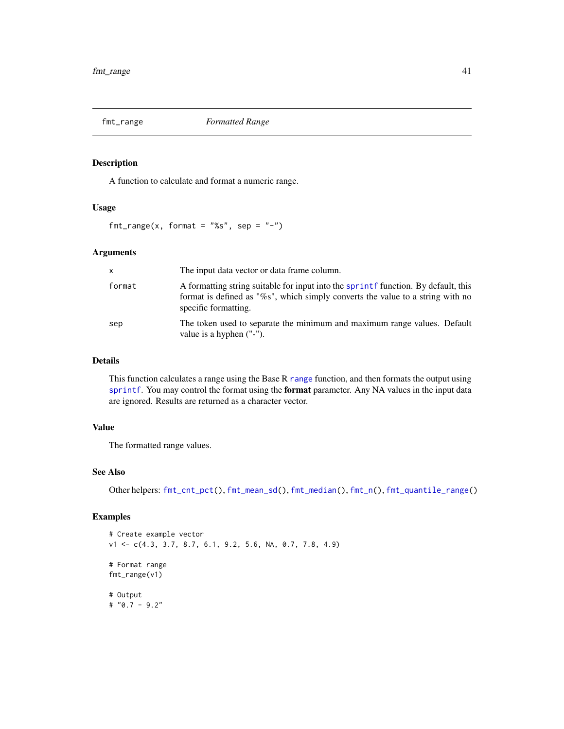<span id="page-40-1"></span><span id="page-40-0"></span>

## Description

A function to calculate and format a numeric range.

## Usage

 $fmt_range(x, format = "%s", sep = "-")$ 

## Arguments

| $\mathsf{x}$ | The input data vector or data frame column.                                                                                                                                                 |
|--------------|---------------------------------------------------------------------------------------------------------------------------------------------------------------------------------------------|
| format       | A formatting string suitable for input into the sprint function. By default, this<br>format is defined as "%s", which simply converts the value to a string with no<br>specific formatting. |
| sep          | The token used to separate the minimum and maximum range values. Default<br>value is a hyphen ("-").                                                                                        |

## Details

This function calculates a [range](#page-0-0) using the Base R range function, and then formats the output using [sprintf](#page-0-0). You may control the format using the format parameter. Any NA values in the input data are ignored. Results are returned as a character vector.

## Value

The formatted range values.

## See Also

Other helpers: [fmt\\_cnt\\_pct\(](#page-35-1)), [fmt\\_mean\\_sd\(](#page-36-1)), [fmt\\_median\(](#page-37-1)), [fmt\\_n\(](#page-38-1)), [fmt\\_quantile\\_range\(](#page-39-1))

```
# Create example vector
v1 <- c(4.3, 3.7, 8.7, 6.1, 9.2, 5.6, NA, 0.7, 7.8, 4.9)
# Format range
fmt_range(v1)
# Output
# "0.7 - 9.2"
```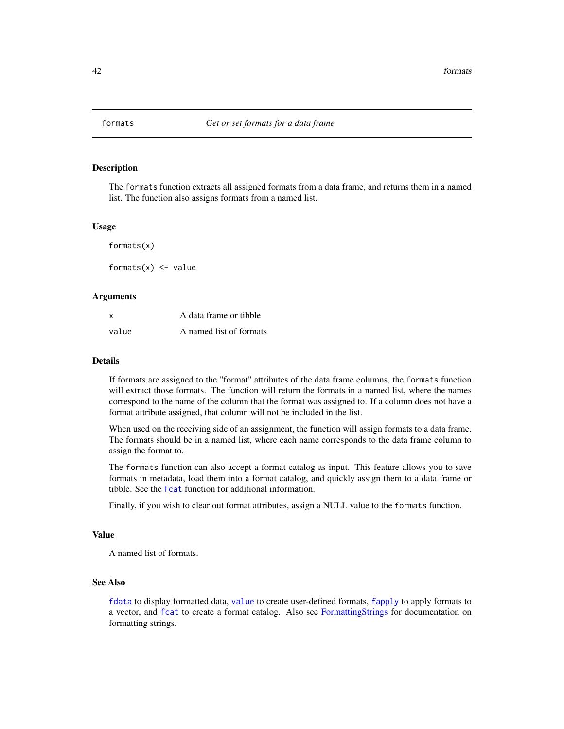<span id="page-41-1"></span><span id="page-41-0"></span>

## Description

The formats function extracts all assigned formats from a data frame, and returns them in a named list. The function also assigns formats from a named list.

## Usage

formats(x)

formats $(x)$  <- value

## Arguments

| X     | A data frame or tibble  |
|-------|-------------------------|
| value | A named list of formats |

## Details

If formats are assigned to the "format" attributes of the data frame columns, the formats function will extract those formats. The function will return the formats in a named list, where the names correspond to the name of the column that the format was assigned to. If a column does not have a format attribute assigned, that column will not be included in the list.

When used on the receiving side of an assignment, the function will assign formats to a data frame. The formats should be in a named list, where each name corresponds to the data frame column to assign the format to.

The formats function can also accept a format catalog as input. This feature allows you to save formats in metadata, load them into a format catalog, and quickly assign them to a data frame or tibble. See the [fcat](#page-29-1) function for additional information.

Finally, if you wish to clear out format attributes, assign a NULL value to the formats function.

## Value

A named list of formats.

## See Also

[fdata](#page-30-1) to display formatted data, [value](#page-53-1) to create user-defined formats, [fapply](#page-24-1) to apply formats to a vector, and [fcat](#page-29-1) to create a format catalog. Also see [FormattingStrings](#page-42-1) for documentation on formatting strings.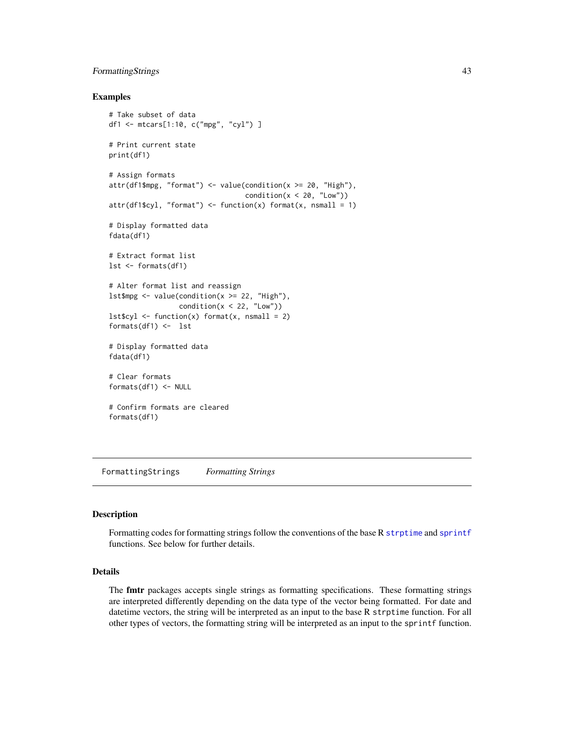## <span id="page-42-0"></span>FormattingStrings 43

## Examples

```
# Take subset of data
df1 <- mtcars[1:10, c("mpg", "cyl") ]
# Print current state
print(df1)
# Assign formats
attr(df1$mpg, "format") < - value(condition(x >= 20, "High"),condition(x < 20, "Low")attr(df1$cy1, "format") \leftarrow function(x) format(x, nsmall = 1)# Display formatted data
fdata(df1)
# Extract format list
lst <- formats(df1)
# Alter format list and reassign
lstmpg <- value(condition(x >= 22, "High"),
                 condition(x < 22, "Low")lst$cyl <- function(x) format(x, nsmall = 2)
formats(df1) <- lst
# Display formatted data
fdata(df1)
# Clear formats
formats(df1) <- NULL
# Confirm formats are cleared
formats(df1)
```
<span id="page-42-1"></span>FormattingStrings *Formatting Strings*

## Description

Formatting codes for formatting strings follow the conventions of the base R [strptime](#page-0-0) and [sprintf](#page-0-0) functions. See below for further details.

## Details

The fmtr packages accepts single strings as formatting specifications. These formatting strings are interpreted differently depending on the data type of the vector being formatted. For date and datetime vectors, the string will be interpreted as an input to the base R strptime function. For all other types of vectors, the formatting string will be interpreted as an input to the sprintf function.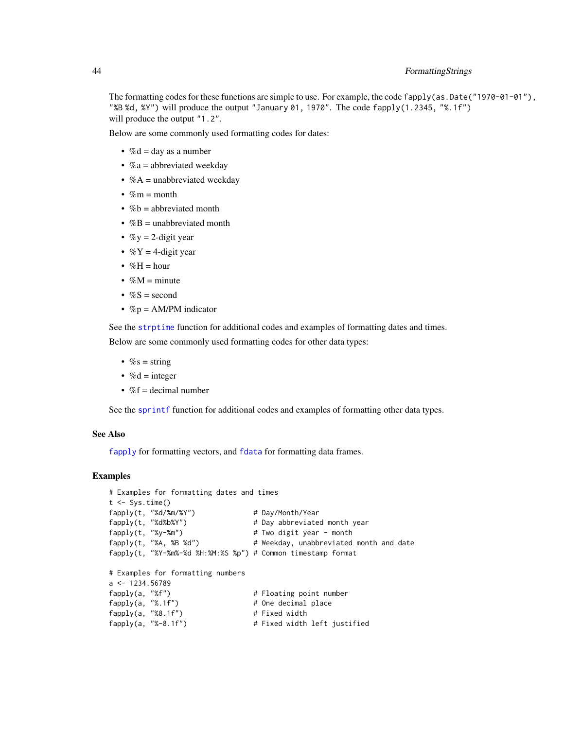## <span id="page-43-0"></span>44 FormattingStrings

The formatting codes for these functions are simple to use. For example, the code  $f$ apply(as.Date("1970-01-01"), "%B %d, %Y") will produce the output "January 01, 1970". The code fapply(1.2345, "%.1f") will produce the output "1.2".

Below are some commonly used formatting codes for dates:

- $% d = day$  as a number
- $\%a$  = abbreviated weekday
- $%A =$ unabbreviated weekday
- $\%$ m = month
- $\%b =$  abbreviated month
- $%B =$  unabbreviated month
- $\%$ y = 2-digit year
- $\%$ Y = 4-digit year
- $%H = hour$
- $\%M =$  minute
- $%S = second$
- $\%p = AM/PM$  indicator

See the [strptime](#page-0-0) function for additional codes and examples of formatting dates and times. Below are some commonly used formatting codes for other data types:

- $\%s = string$
- $% d = integer$
- $\%$ f = decimal number

See the [sprintf](#page-0-0) function for additional codes and examples of formatting other data types.

## See Also

[fapply](#page-24-1) for formatting vectors, and [fdata](#page-30-1) for formatting data frames.

```
# Examples for formatting dates and times
t < - Sys.time()
fapply(t, "%d/%m/%Y") # Day/Month/Year
fapply(t, "%d%b%Y") # Day abbreviated month year
fapply(t, "%y-%m") # Two digit year - month
fapply(t, "%A, %B %d") # Weekday, unabbreviated month and date
fapply(t, "%Y-%m%-%d %H:%M:%S %p") # Common timestamp format
# Examples for formatting numbers
a <- 1234.56789
fapply(a, "%f") \qquad \qquad \qquad \text{# Floating point number}fapply(a, "%.1f") # One decimal place
fapply(a, "%8.1f") # Fixed width
fapply(a, "%-8.1f") # Fixed width left justified
```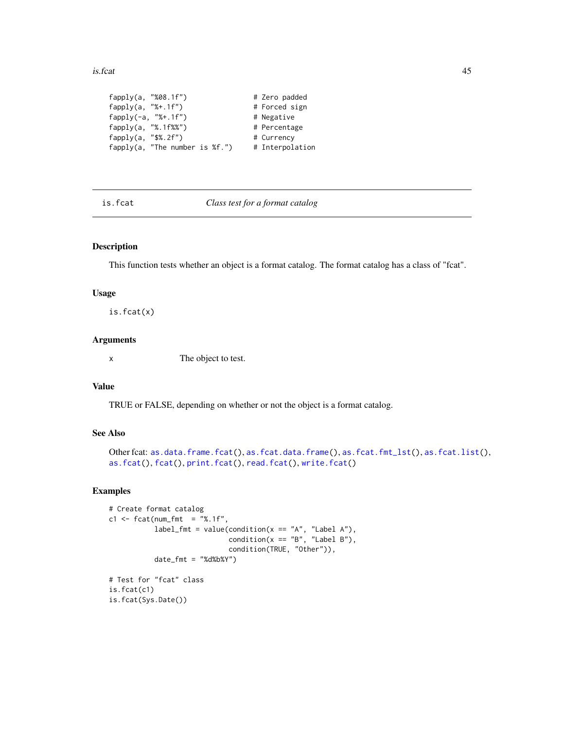#### <span id="page-44-0"></span>is.fcat 45

```
fapply(a, "%08.1f") # Zero padded
fapply(a, "%+.1f") # Forced sign
fapply(-a, "%+.1f") # Negative
fapply(a, "%.1f%%") # Percentage
fapply(a, "$%.2f") # Currency
fapply(a, "The number is <math>kf.''</math>) # Interpolation
```
<span id="page-44-1"></span>is.fcat *Class test for a format catalog*

## Description

This function tests whether an object is a format catalog. The format catalog has a class of "fcat".

#### Usage

is.fcat(x)

## Arguments

x The object to test.

## Value

TRUE or FALSE, depending on whether or not the object is a format catalog.

## See Also

```
as.data.frame.fcat(as.fcat.data.frame(as.fcat.fmt_lst(as.fcat.list(),
as.fcat(), fcat(), print.fcat(), read.fcat(), write.fcat()
```
## Examples

```
# Create format catalog
c1 <- fcat(num_fmt = "%.1f",
           label_fmt = value(condition(x == "A", "Label A"),condition(x == "B", "Label B"),condition(TRUE, "Other")),
          date_fmt = "d8d8b8Y")# Test for "fcat" class
is.fcat(c1)
```
is.fcat(Sys.Date())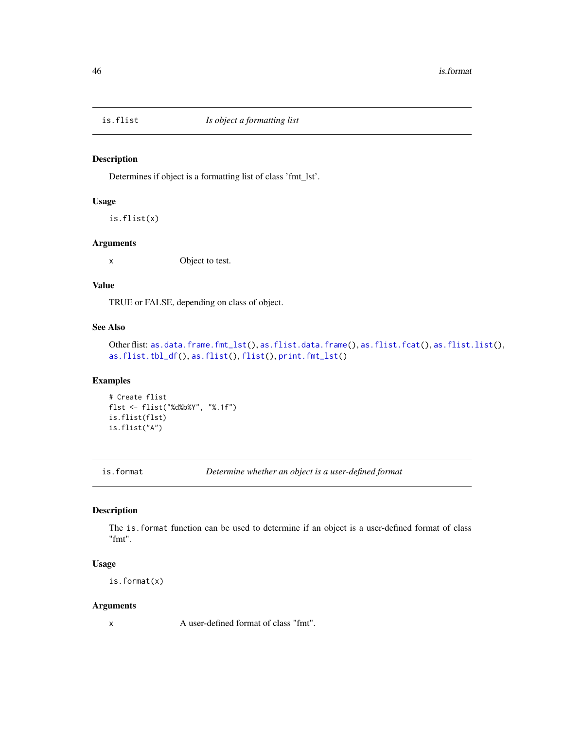<span id="page-45-2"></span><span id="page-45-0"></span>

## Description

Determines if object is a formatting list of class 'fmt\_lst'.

## Usage

is.flist(x)

## Arguments

x Object to test.

## Value

TRUE or FALSE, depending on class of object.

## See Also

```
as.data.frame.fmt_lst(as.flist.data.frame(as.flist.fcat(as.flist.list(),
as.flist.tbl_df(), as.flist(), flist(), print.fmt_lst()
```
## Examples

```
# Create flist
flst <- flist("%d%b%Y", "%.1f")
is.flist(flst)
is.flist("A")
```
<span id="page-45-1"></span>is.format *Determine whether an object is a user-defined format*

## Description

The is.format function can be used to determine if an object is a user-defined format of class "fmt".

#### Usage

is.format(x)

#### Arguments

x A user-defined format of class "fmt".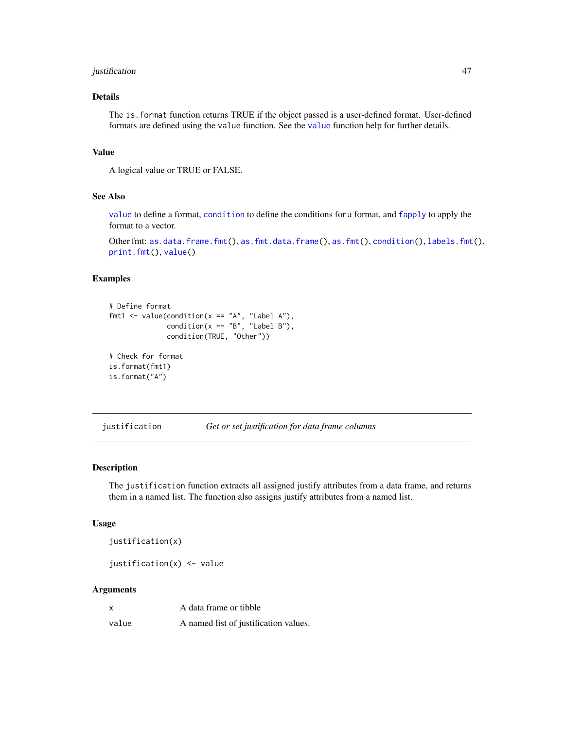## <span id="page-46-0"></span>justification 47

## Details

The is.format function returns TRUE if the object passed is a user-defined format. User-defined formats are defined using the value function. See the [value](#page-53-1) function help for further details.

## Value

A logical value or TRUE or FALSE.

## See Also

[value](#page-53-1) to define a format, [condition](#page-21-1) to define the conditions for a format, and [fapply](#page-24-1) to apply the format to a vector.

Other fmt: [as.data.frame.fmt\(](#page-3-1)), [as.fmt.data.frame\(](#page-20-1)), [as.fmt\(](#page-19-1)), [condition\(](#page-21-1)), [labels.fmt\(](#page-49-1)), [print.fmt\(](#page-51-1)), [value\(](#page-53-1))

## Examples

```
# Define format
fmt1 < - value(condition(x == "A", "Label A"),
              condition(x == "B", "Label B"),condition(TRUE, "Other"))
# Check for format
is.format(fmt1)
```

```
is.format("A")
```
<span id="page-46-1"></span>justification *Get or set justification for data frame columns*

#### Description

The justification function extracts all assigned justify attributes from a data frame, and returns them in a named list. The function also assigns justify attributes from a named list.

## Usage

```
justification(x)
```
justification(x) <- value

## Arguments

| $\boldsymbol{\mathsf{x}}$ | A data frame or tibble                |
|---------------------------|---------------------------------------|
| value                     | A named list of justification values. |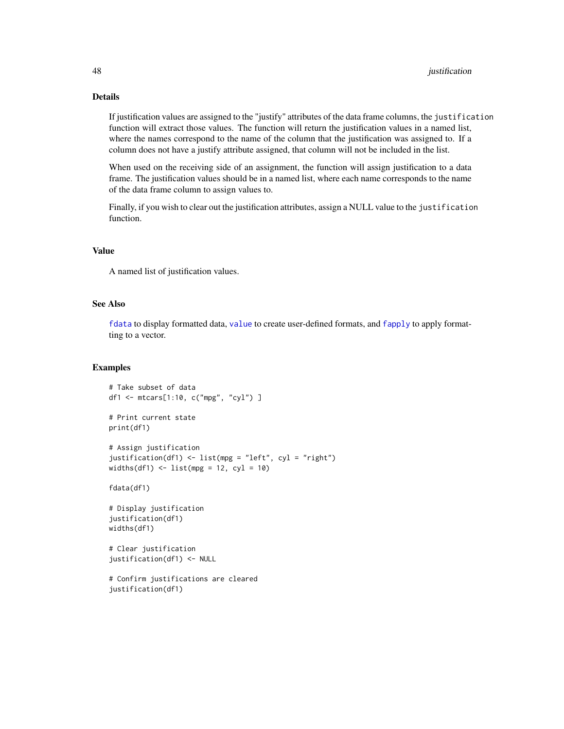## <span id="page-47-0"></span>Details

If justification values are assigned to the "justify" attributes of the data frame columns, the justification function will extract those values. The function will return the justification values in a named list, where the names correspond to the name of the column that the justification was assigned to. If a column does not have a justify attribute assigned, that column will not be included in the list.

When used on the receiving side of an assignment, the function will assign justification to a data frame. The justification values should be in a named list, where each name corresponds to the name of the data frame column to assign values to.

Finally, if you wish to clear out the justification attributes, assign a NULL value to the justification function.

#### Value

A named list of justification values.

## See Also

[fdata](#page-30-1) to display formatted data, [value](#page-53-1) to create user-defined formats, and [fapply](#page-24-1) to apply formatting to a vector.

```
# Take subset of data
df1 <- mtcars[1:10, c("mpg", "cyl") ]
# Print current state
print(df1)
# Assign justification
justification(df1) <- list(mpg = "left", cyl = "right")
widths(df1) \leftarrow list(mpg = 12, cyl = 10)
fdata(df1)
# Display justification
justification(df1)
widths(df1)
# Clear justification
justification(df1) <- NULL
# Confirm justifications are cleared
justification(df1)
```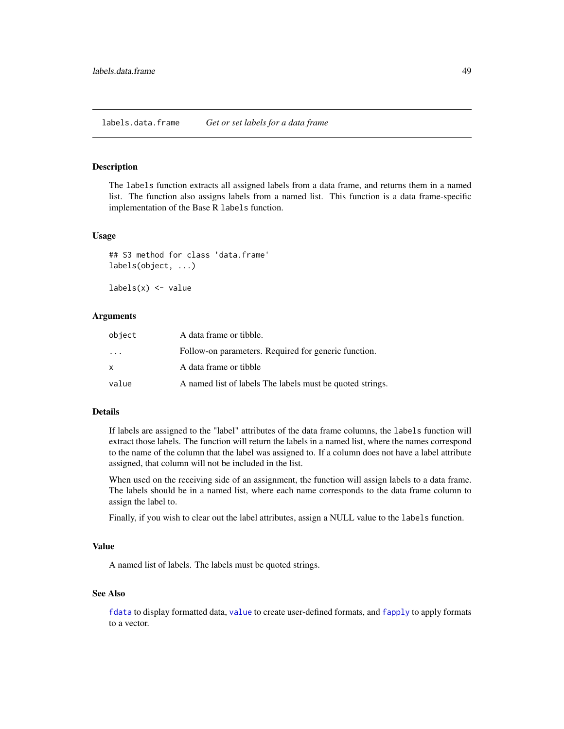## <span id="page-48-0"></span>Description

The labels function extracts all assigned labels from a data frame, and returns them in a named list. The function also assigns labels from a named list. This function is a data frame-specific implementation of the Base R labels function.

#### Usage

## S3 method for class 'data.frame' labels(object, ...)

 $labels(x) \leftarrow value$ 

## Arguments

| object                  | A data frame or tibble.                                   |
|-------------------------|-----------------------------------------------------------|
| $\cdot$ $\cdot$ $\cdot$ | Follow-on parameters. Required for generic function.      |
| x                       | A data frame or tibble                                    |
| value                   | A named list of labels The labels must be quoted strings. |

## Details

If labels are assigned to the "label" attributes of the data frame columns, the labels function will extract those labels. The function will return the labels in a named list, where the names correspond to the name of the column that the label was assigned to. If a column does not have a label attribute assigned, that column will not be included in the list.

When used on the receiving side of an assignment, the function will assign labels to a data frame. The labels should be in a named list, where each name corresponds to the data frame column to assign the label to.

Finally, if you wish to clear out the label attributes, assign a NULL value to the labels function.

## Value

A named list of labels. The labels must be quoted strings.

## See Also

[fdata](#page-30-1) to display formatted data, [value](#page-53-1) to create user-defined formats, and [fapply](#page-24-1) to apply formats to a vector.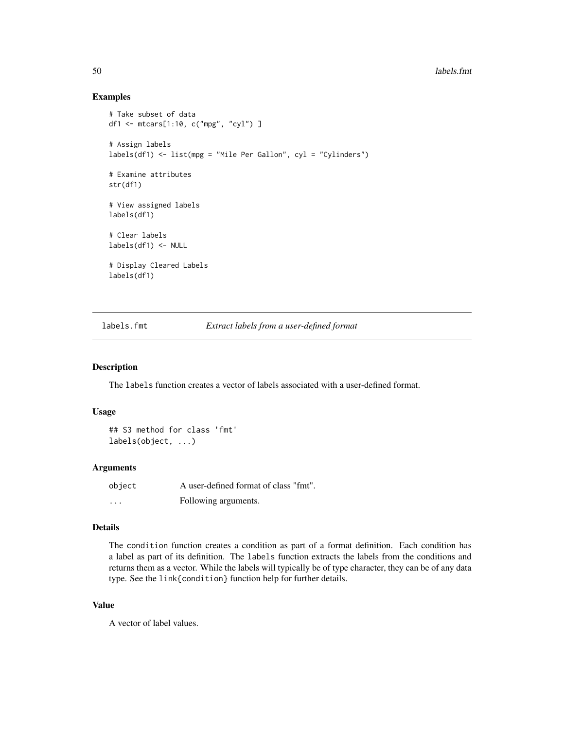## Examples

```
# Take subset of data
df1 <- mtcars[1:10, c("mpg", "cyl") ]
# Assign labels
labels(df1) <- list(mpg = "Mile Per Gallon", cyl = "Cylinders")
# Examine attributes
str(df1)
# View assigned labels
labels(df1)
# Clear labels
labels(df1) <- NULL
# Display Cleared Labels
labels(df1)
```
<span id="page-49-1"></span>labels.fmt *Extract labels from a user-defined format*

#### Description

The labels function creates a vector of labels associated with a user-defined format.

#### Usage

```
## S3 method for class 'fmt'
labels(object, ...)
```
#### Arguments

| object   | A user-defined format of class "fmt". |
|----------|---------------------------------------|
| $\cdots$ | Following arguments.                  |

## Details

The condition function creates a condition as part of a format definition. Each condition has a label as part of its definition. The labels function extracts the labels from the conditions and returns them as a vector. While the labels will typically be of type character, they can be of any data type. See the link{condition} function help for further details.

## Value

A vector of label values.

<span id="page-49-0"></span>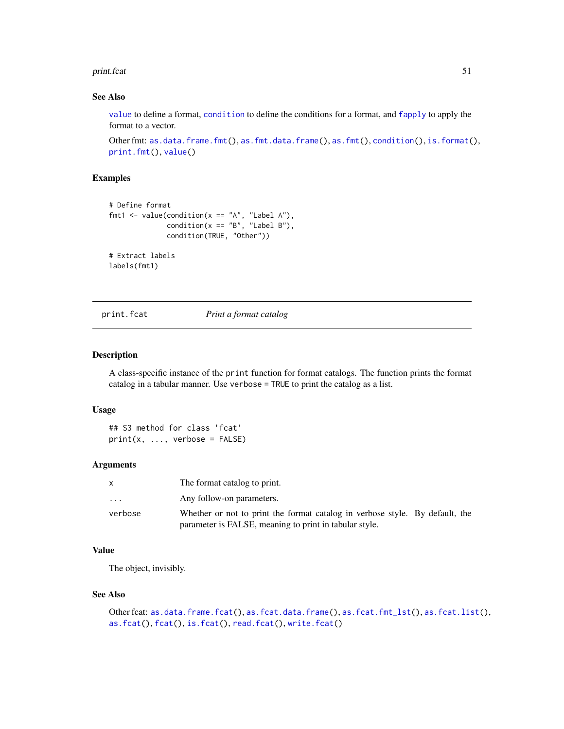#### <span id="page-50-0"></span>print.fcat 51

## See Also

[value](#page-53-1) to define a format, [condition](#page-21-1) to define the conditions for a format, and [fapply](#page-24-1) to apply the format to a vector.

```
as.data.frame.fmt(as.fmt.data.frame(as.fmt(condition(is.format(),
print.fmt(), value()
```
## Examples

```
# Define format
fmt1 <- value(condition(x == "A", "Label A"),
              condition(x == "B", "Label B"),condition(TRUE, "Other"))
# Extract labels
labels(fmt1)
```
<span id="page-50-1"></span>print.fcat *Print a format catalog*

## Description

A class-specific instance of the print function for format catalogs. The function prints the format catalog in a tabular manner. Use verbose = TRUE to print the catalog as a list.

## Usage

```
## S3 method for class 'fcat'
print(x, ..., verbose = FALSE)
```
## Arguments

| X       | The format catalog to print.                                                 |
|---------|------------------------------------------------------------------------------|
| .       | Any follow-on parameters.                                                    |
| verbose | Whether or not to print the format catalog in verbose style. By default, the |
|         | parameter is FALSE, meaning to print in tabular style.                       |

## Value

The object, invisibly.

#### See Also

```
Other fcat: as.data.frame.fcat(), as.fcat.data.frame(), as.fcat.fmt_lst(), as.fcat.list(),
as.fcat(), fcat(), is.fcat(), read.fcat(), write.fcat()
```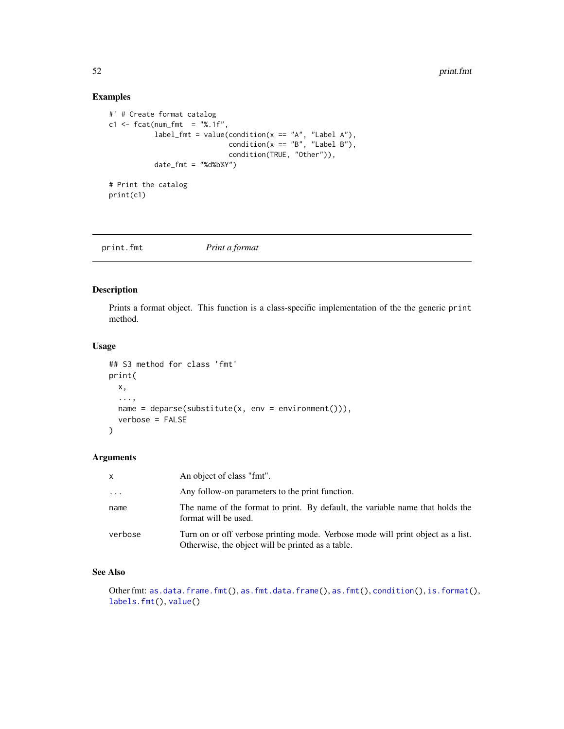## Examples

```
#' # Create format catalog
c1 <- fcat(num_fmt = "%.1f",
           label_fmt = value(condition(x == "A", "Label A"),condition(x == "B", "Label B"),condition(TRUE, "Other")),
           date_fmt = "%d%b%Y")
```
# Print the catalog print(c1)

<span id="page-51-1"></span>print.fmt *Print a format*

## Description

Prints a format object. This function is a class-specific implementation of the the generic print method.

## Usage

```
## S3 method for class 'fmt'
print(
 x,
  ...,
 name = deparse(substitute(x, env = environment()),
  verbose = FALSE
\mathcal{E}
```
## Arguments

| $\mathsf{x}$ | An object of class "fmt".                                                                                                            |
|--------------|--------------------------------------------------------------------------------------------------------------------------------------|
| $\cdots$     | Any follow-on parameters to the print function.                                                                                      |
| name         | The name of the format to print. By default, the variable name that holds the<br>format will be used.                                |
| verbose      | Turn on or off verbose printing mode. Verbose mode will print object as a list.<br>Otherwise, the object will be printed as a table. |

## See Also

Other fmt: [as.data.frame.fmt\(](#page-3-1)), [as.fmt.data.frame\(](#page-20-1)), [as.fmt\(](#page-19-1)), [condition\(](#page-21-1)), [is.format\(](#page-45-1)), [labels.fmt\(](#page-49-1)), [value\(](#page-53-1))

<span id="page-51-0"></span>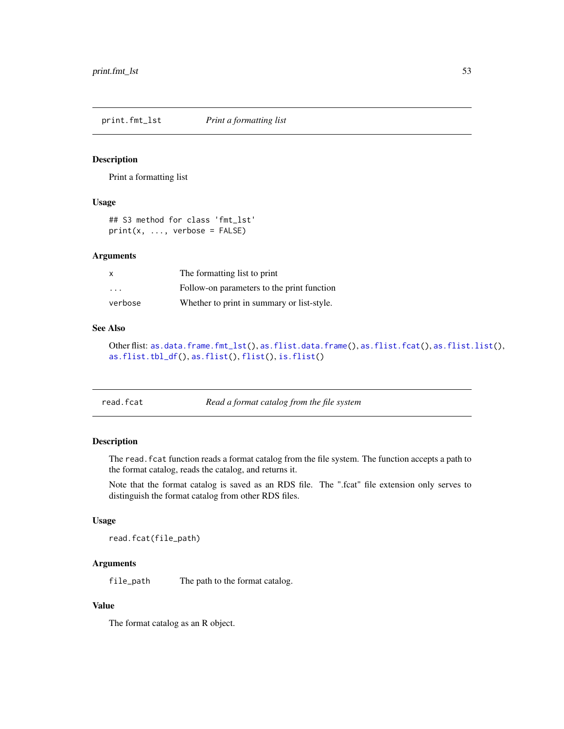<span id="page-52-2"></span><span id="page-52-0"></span>print.fmt\_lst *Print a formatting list*

#### Description

Print a formatting list

## Usage

## S3 method for class 'fmt\_lst'  $print(x, ...,$  verbose = FALSE)

## Arguments

| X.      | The formatting list to print               |
|---------|--------------------------------------------|
| .       | Follow-on parameters to the print function |
| verbose | Whether to print in summary or list-style. |

## See Also

```
Other flist: as.data.frame.fmt_lst(), as.flist.data.frame(), as.flist.fcat(), as.flist.list(),
as.flist.tbl_df(), as.flist(), flist(), is.flist()
```
<span id="page-52-1"></span>

| read.fcat | Read a format catalog from the file system |
|-----------|--------------------------------------------|
|-----------|--------------------------------------------|

## Description

The read.fcat function reads a format catalog from the file system. The function accepts a path to the format catalog, reads the catalog, and returns it.

Note that the format catalog is saved as an RDS file. The ".fcat" file extension only serves to distinguish the format catalog from other RDS files.

## Usage

```
read.fcat(file_path)
```
## Arguments

file\_path The path to the format catalog.

## Value

The format catalog as an R object.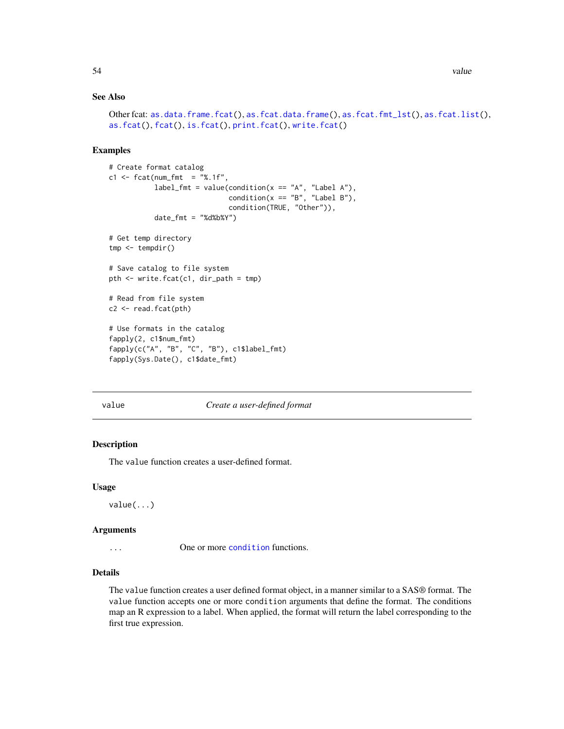## See Also

```
Other fcat: as.data.frame.fcat(), as.fcat.data.frame(), as.fcat.fmt_lst(), as.fcat.list(),
as.fcat(), fcat(), is.fcat(), print.fcat(), write.fcat()
```
## Examples

```
# Create format catalog
c1 <- fcat(num_fmt = "%.1f",
           label_fmt = value(condition(x == "A", "Label A"),condition(x == "B", "Label B"),condition(TRUE, "Other")),
           date_fmt = "%d%b%Y")# Get temp directory
tmp <- tempdir()
# Save catalog to file system
pth <- write.fcat(c1, dir_path = tmp)
# Read from file system
c2 <- read.fcat(pth)
# Use formats in the catalog
fapply(2, c1$num_fmt)
fapply(c("A", "B", "C", "B"), c1$label_fmt)
fapply(Sys.Date(), c1$date_fmt)
```
<span id="page-53-1"></span>

#### value *Create a user-defined format*

## Description

The value function creates a user-defined format.

#### Usage

value(...)

## Arguments

... One or more [condition](#page-21-1) functions.

## Details

The value function creates a user defined format object, in a manner similar to a SAS® format. The value function accepts one or more condition arguments that define the format. The conditions map an R expression to a label. When applied, the format will return the label corresponding to the first true expression.

<span id="page-53-0"></span>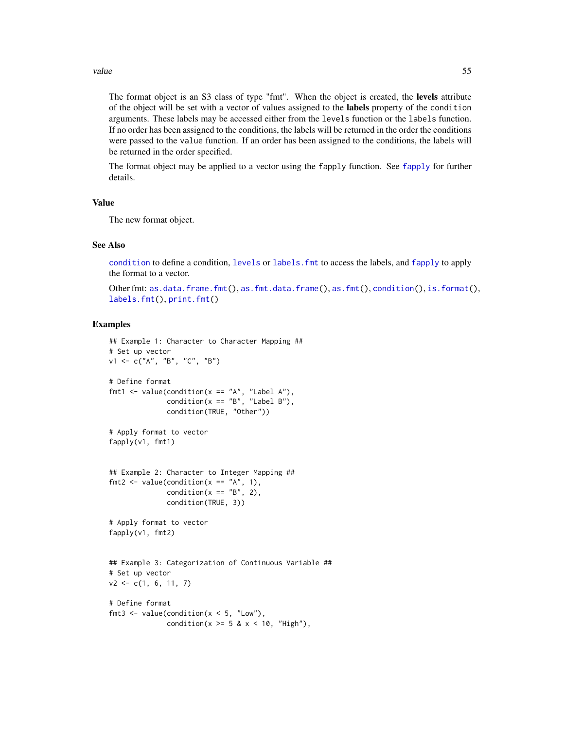#### <span id="page-54-0"></span>value 55

The format object is an S3 class of type "fmt". When the object is created, the levels attribute of the object will be set with a vector of values assigned to the labels property of the condition arguments. These labels may be accessed either from the levels function or the labels function. If no order has been assigned to the conditions, the labels will be returned in the order the conditions were passed to the value function. If an order has been assigned to the conditions, the labels will be returned in the order specified.

The format object may be applied to a vector using the fapply function. See [fapply](#page-24-1) for further details.

## Value

The new format object.

#### See Also

[condition](#page-21-1) to define a condition, [levels](#page-0-0) or [labels.fmt](#page-49-1) to access the labels, and [fapply](#page-24-1) to apply the format to a vector.

```
Other fmt: as.data.frame.fmt(), as.fmt.data.frame(), as.fmt(), condition(), is.format(),
labels.fmt(), print.fmt()
```

```
## Example 1: Character to Character Mapping ##
# Set up vector
v1 <- c("A", "B", "C", "B")
# Define format
fmt1 <- value(condition(x == "A", "Label A"),condition(x == "B", "Label B"),condition(TRUE, "Other"))
# Apply format to vector
fapply(v1, fmt1)
## Example 2: Character to Integer Mapping ##
fmt2 <- value(condition(x == "A", 1),
              condition(x == "B", 2),
              condition(TRUE, 3))
# Apply format to vector
fapply(v1, fmt2)
## Example 3: Categorization of Continuous Variable ##
# Set up vector
v2 \leq c(1, 6, 11, 7)# Define format
fmt3 <- value(condition(x < 5, "Low"),
              condition(x \ge 5 & x < 10, "High"),
```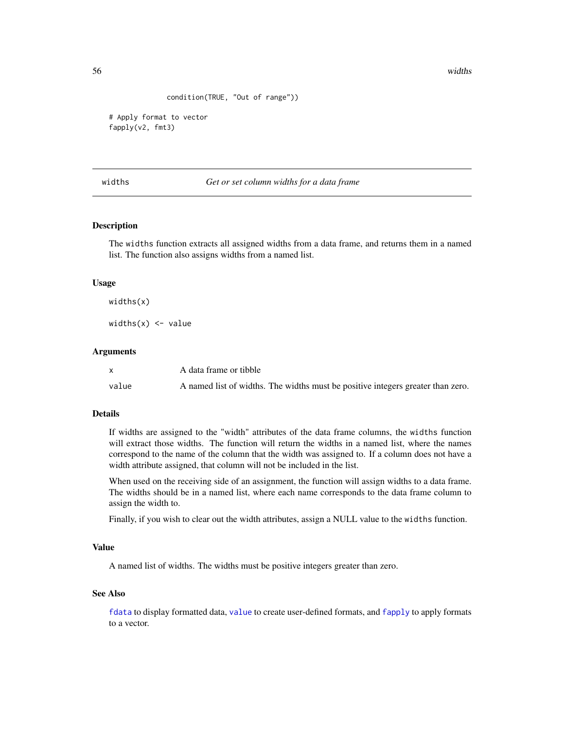<span id="page-55-0"></span>56 widths widths are not a set of the set of the set of the set of the set of the set of the set of the set of the set of the set of the set of the set of the set of the set of the set of the set of the set of the set of t

```
condition(TRUE, "Out of range"))
```

```
# Apply format to vector
fapply(v2, fmt3)
```
<span id="page-55-1"></span>widths *Get or set column widths for a data frame*

## Description

The widths function extracts all assigned widths from a data frame, and returns them in a named list. The function also assigns widths from a named list.

## Usage

widths(x)

widths $(x)$  <- value

#### Arguments

|       | A data frame or tibble                                                          |
|-------|---------------------------------------------------------------------------------|
| value | A named list of widths. The widths must be positive integers greater than zero. |

## Details

If widths are assigned to the "width" attributes of the data frame columns, the widths function will extract those widths. The function will return the widths in a named list, where the names correspond to the name of the column that the width was assigned to. If a column does not have a width attribute assigned, that column will not be included in the list.

When used on the receiving side of an assignment, the function will assign widths to a data frame. The widths should be in a named list, where each name corresponds to the data frame column to assign the width to.

Finally, if you wish to clear out the width attributes, assign a NULL value to the widths function.

## Value

A named list of widths. The widths must be positive integers greater than zero.

## See Also

[fdata](#page-30-1) to display formatted data, [value](#page-53-1) to create user-defined formats, and [fapply](#page-24-1) to apply formats to a vector.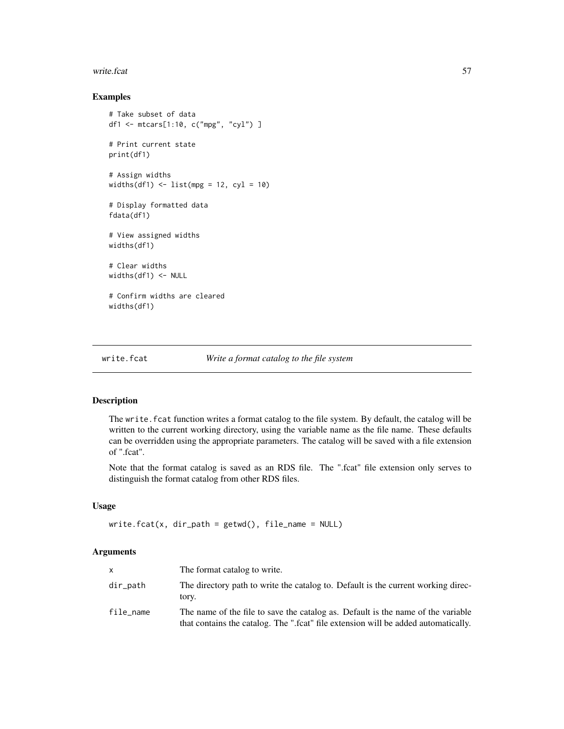#### <span id="page-56-0"></span>write.fcat 57

## Examples

```
# Take subset of data
df1 <- mtcars[1:10, c("mpg", "cyl") ]
# Print current state
print(df1)
# Assign widths
widths(df1) <- list(mpg = 12, cyl = 10)
# Display formatted data
fdata(df1)
# View assigned widths
widths(df1)
# Clear widths
widths(df1) <- NULL
# Confirm widths are cleared
widths(df1)
```
<span id="page-56-1"></span>

## write.fcat *Write a format catalog to the file system*

## Description

The write. fcat function writes a format catalog to the file system. By default, the catalog will be written to the current working directory, using the variable name as the file name. These defaults can be overridden using the appropriate parameters. The catalog will be saved with a file extension of ".fcat".

Note that the format catalog is saved as an RDS file. The ".fcat" file extension only serves to distinguish the format catalog from other RDS files.

## Usage

```
write.fcat(x, dir_path = getwd(), file_name = NULL)
```
## Arguments

| <b>X</b>  | The format catalog to write.                                                                                                                                           |
|-----------|------------------------------------------------------------------------------------------------------------------------------------------------------------------------|
| dir_path  | The directory path to write the catalog to. Default is the current working direc-<br>tory.                                                                             |
| file_name | The name of the file to save the catalog as. Default is the name of the variable<br>that contains the catalog. The ".fcat" file extension will be added automatically. |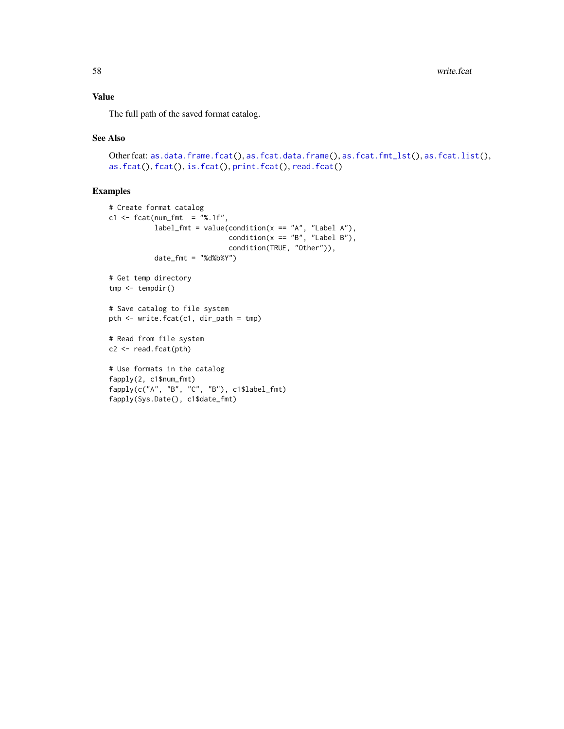## <span id="page-57-0"></span>Value

The full path of the saved format catalog.

#### See Also

```
Other fcat: as.data.frame.fcat(), as.fcat.data.frame(), as.fcat.fmt_lst(), as.fcat.list(),
as.fcat(), fcat(), is.fcat(), print.fcat(), read.fcat()
```

```
# Create format catalog
c1 \leq fcat(num_fmt = "%.1f",
           label_fmt = value(condition(x == "A", "Label A"),condition(x == "B", "Label B"),condition(TRUE, "Other")),
           date_fmt = "%d%b%Y")
# Get temp directory
tmp <- tempdir()
# Save catalog to file system
pth <- write.fcat(c1, dir_path = tmp)
# Read from file system
c2 <- read.fcat(pth)
# Use formats in the catalog
fapply(2, c1$num_fmt)
fapply(c("A", "B", "C", "B"), c1$label_fmt)
fapply(Sys.Date(), c1$date_fmt)
```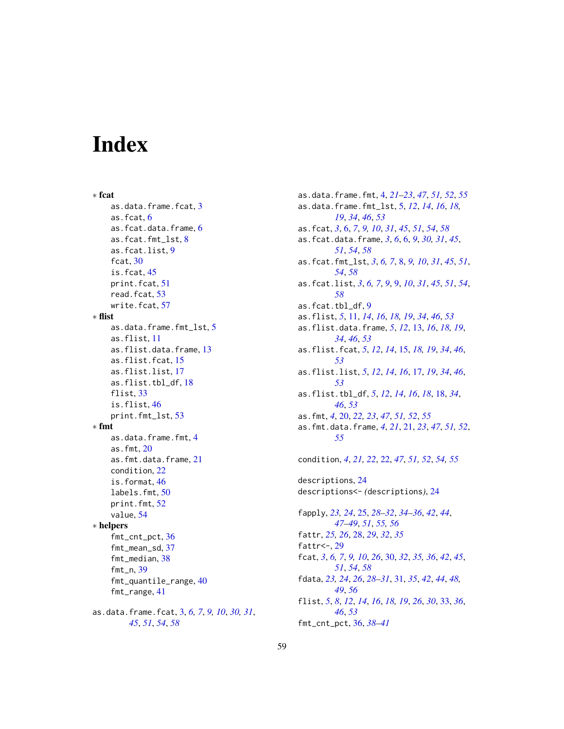# <span id="page-58-0"></span>**Index**

∗ fcat as.data.frame.fcat, [3](#page-2-0) as.fcat, [6](#page-5-0) as.fcat.data.frame, [6](#page-5-0) as.fcat.fmt\_lst, [8](#page-7-0) as.fcat.list, [9](#page-8-0) fcat, [30](#page-29-0) is.fcat, [45](#page-44-0) print.fcat, [51](#page-50-0) read.fcat, [53](#page-52-0) write.fcat, [57](#page-56-0) ∗ flist as.data.frame.fmt\_lst, [5](#page-4-0) as.flist, [11](#page-10-0) as.flist.data.frame, [13](#page-12-0) as.flist.fcat, [15](#page-14-0) as.flist.list, [17](#page-16-0) as.flist.tbl\_df, [18](#page-17-0) flist, [33](#page-32-0) is.flist, [46](#page-45-0) print.fmt\_lst, [53](#page-52-0) ∗ fmt as.data.frame.fmt, [4](#page-3-0) as.fmt, [20](#page-19-0) as.fmt.data.frame, [21](#page-20-0) condition, [22](#page-21-0) is.format, [46](#page-45-0) labels.fmt, [50](#page-49-0) print.fmt, [52](#page-51-0) value, [54](#page-53-0) ∗ helpers fmt\_cnt\_pct, [36](#page-35-0) fmt\_mean\_sd, [37](#page-36-0) fmt median, [38](#page-37-0) fmt\_n, [39](#page-38-0) fmt\_quantile\_range, [40](#page-39-0) fmt\_range, [41](#page-40-0) as.data.frame.fcat, [3,](#page-2-0) *[6,](#page-5-0) [7](#page-6-0)*, *[9,](#page-8-0) [10](#page-9-0)*, *[30,](#page-29-0) [31](#page-30-0)*, *[45](#page-44-0)*, *[51](#page-50-0)*, *[54](#page-53-0)*, *[58](#page-57-0)*

as.data.frame.fmt, [4,](#page-3-0) *[21](#page-20-0)[–23](#page-22-0)*, *[47](#page-46-0)*, *[51,](#page-50-0) [52](#page-51-0)*, *[55](#page-54-0)* as.data.frame.fmt\_lst, [5,](#page-4-0) *[12](#page-11-0)*, *[14](#page-13-0)*, *[16](#page-15-0)*, *[18,](#page-17-0) [19](#page-18-0)*, *[34](#page-33-0)*, *[46](#page-45-0)*, *[53](#page-52-0)* as.fcat, *[3](#page-2-0)*, [6,](#page-5-0) *[7](#page-6-0)*, *[9,](#page-8-0) [10](#page-9-0)*, *[31](#page-30-0)*, *[45](#page-44-0)*, *[51](#page-50-0)*, *[54](#page-53-0)*, *[58](#page-57-0)* as.fcat.data.frame, *[3](#page-2-0)*, *[6](#page-5-0)*, [6,](#page-5-0) *[9](#page-8-0)*, *[30,](#page-29-0) [31](#page-30-0)*, *[45](#page-44-0)*, *[51](#page-50-0)*, *[54](#page-53-0)*, *[58](#page-57-0)* as.fcat.fmt\_lst, *[3](#page-2-0)*, *[6,](#page-5-0) [7](#page-6-0)*, [8,](#page-7-0) *[9,](#page-8-0) [10](#page-9-0)*, *[31](#page-30-0)*, *[45](#page-44-0)*, *[51](#page-50-0)*, *[54](#page-53-0)*, *[58](#page-57-0)* as.fcat.list, *[3](#page-2-0)*, *[6,](#page-5-0) [7](#page-6-0)*, *[9](#page-8-0)*, [9,](#page-8-0) *[10](#page-9-0)*, *[31](#page-30-0)*, *[45](#page-44-0)*, *[51](#page-50-0)*, *[54](#page-53-0)*, *[58](#page-57-0)* as.fcat.tbl\_df, [9](#page-8-0) as.flist, *[5](#page-4-0)*, [11,](#page-10-0) *[14](#page-13-0)*, *[16](#page-15-0)*, *[18,](#page-17-0) [19](#page-18-0)*, *[34](#page-33-0)*, *[46](#page-45-0)*, *[53](#page-52-0)* as.flist.data.frame, *[5](#page-4-0)*, *[12](#page-11-0)*, [13,](#page-12-0) *[16](#page-15-0)*, *[18,](#page-17-0) [19](#page-18-0)*, *[34](#page-33-0)*, *[46](#page-45-0)*, *[53](#page-52-0)* as.flist.fcat, *[5](#page-4-0)*, *[12](#page-11-0)*, *[14](#page-13-0)*, [15,](#page-14-0) *[18,](#page-17-0) [19](#page-18-0)*, *[34](#page-33-0)*, *[46](#page-45-0)*, *[53](#page-52-0)* as.flist.list, *[5](#page-4-0)*, *[12](#page-11-0)*, *[14](#page-13-0)*, *[16](#page-15-0)*, [17,](#page-16-0) *[19](#page-18-0)*, *[34](#page-33-0)*, *[46](#page-45-0)*, *[53](#page-52-0)* as.flist.tbl\_df, *[5](#page-4-0)*, *[12](#page-11-0)*, *[14](#page-13-0)*, *[16](#page-15-0)*, *[18](#page-17-0)*, [18,](#page-17-0) *[34](#page-33-0)*, *[46](#page-45-0)*, *[53](#page-52-0)* as.fmt, *[4](#page-3-0)*, [20,](#page-19-0) *[22,](#page-21-0) [23](#page-22-0)*, *[47](#page-46-0)*, *[51,](#page-50-0) [52](#page-51-0)*, *[55](#page-54-0)* as.fmt.data.frame, *[4](#page-3-0)*, *[21](#page-20-0)*, [21,](#page-20-0) *[23](#page-22-0)*, *[47](#page-46-0)*, *[51,](#page-50-0) [52](#page-51-0)*, *[55](#page-54-0)* condition, *[4](#page-3-0)*, *[21,](#page-20-0) [22](#page-21-0)*, [22,](#page-21-0) *[47](#page-46-0)*, *[51,](#page-50-0) [52](#page-51-0)*, *[54,](#page-53-0) [55](#page-54-0)* descriptions, [24](#page-23-0) descriptions<- *(*descriptions*)*, [24](#page-23-0) fapply, *[23,](#page-22-0) [24](#page-23-0)*, [25,](#page-24-0) *[28](#page-27-0)[–32](#page-31-0)*, *[34](#page-33-0)[–36](#page-35-0)*, *[42](#page-41-0)*, *[44](#page-43-0)*, *[47](#page-46-0)[–49](#page-48-0)*, *[51](#page-50-0)*, *[55,](#page-54-0) [56](#page-55-0)* fattr, *[25,](#page-24-0) [26](#page-25-0)*, [28,](#page-27-0) *[29](#page-28-0)*, *[32](#page-31-0)*, *[35](#page-34-0)* fattr  $\leftarrow$ , [29](#page-28-0) fcat, *[3](#page-2-0)*, *[6,](#page-5-0) [7](#page-6-0)*, *[9,](#page-8-0) [10](#page-9-0)*, *[26](#page-25-0)*, [30,](#page-29-0) *[32](#page-31-0)*, *[35,](#page-34-0) [36](#page-35-0)*, *[42](#page-41-0)*, *[45](#page-44-0)*, *[51](#page-50-0)*, *[54](#page-53-0)*, *[58](#page-57-0)* fdata, *[23,](#page-22-0) [24](#page-23-0)*, *[26](#page-25-0)*, *[28](#page-27-0)[–31](#page-30-0)*, [31,](#page-30-0) *[35](#page-34-0)*, *[42](#page-41-0)*, *[44](#page-43-0)*, *[48,](#page-47-0) [49](#page-48-0)*, *[56](#page-55-0)* flist, *[5](#page-4-0)*, *[8](#page-7-0)*, *[12](#page-11-0)*, *[14](#page-13-0)*, *[16](#page-15-0)*, *[18,](#page-17-0) [19](#page-18-0)*, *[26](#page-25-0)*, *[30](#page-29-0)*, [33,](#page-32-0) *[36](#page-35-0)*, *[46](#page-45-0)*, *[53](#page-52-0)*

fmt\_cnt\_pct, [36,](#page-35-0) *[38](#page-37-0)[–41](#page-40-0)*